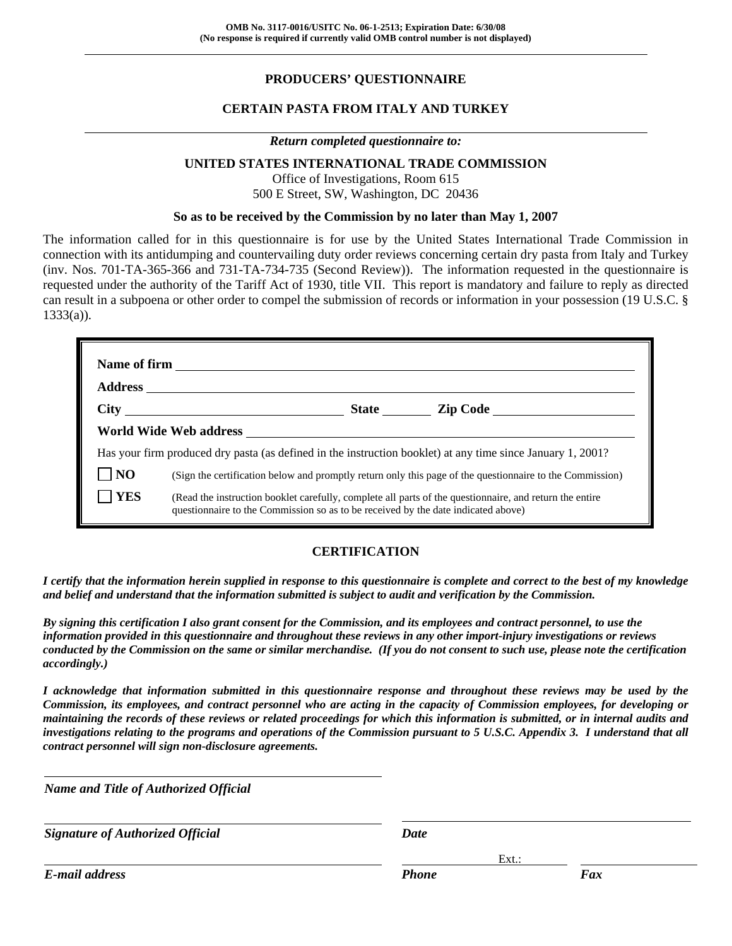# **PRODUCERS' QUESTIONNAIRE**

## **CERTAIN PASTA FROM ITALY AND TURKEY**

### *Return completed questionnaire to:*

### **UNITED STATES INTERNATIONAL TRADE COMMISSION**

Office of Investigations, Room 615 500 E Street, SW, Washington, DC 20436

### **So as to be received by the Commission by no later than May 1, 2007**

The information called for in this questionnaire is for use by the United States International Trade Commission in connection with its antidumping and countervailing duty order reviews concerning certain dry pasta from Italy and Turkey (inv. Nos. 701-TA-365-366 and 731-TA-734-735 (Second Review)). The information requested in the questionnaire is requested under the authority of the Tariff Act of 1930, title VII. This report is mandatory and failure to reply as directed can result in a subpoena or other order to compel the submission of records or information in your possession (19 U.S.C. §  $1333(a)$ ).

|                | $\overline{\text{City}}$                                                                                                                                                                     |
|----------------|----------------------------------------------------------------------------------------------------------------------------------------------------------------------------------------------|
|                | World Wide Web address                                                                                                                                                                       |
|                | Has your firm produced dry pasta (as defined in the instruction booklet) at any time since January 1, 2001?                                                                                  |
| N <sub>O</sub> | (Sign the certification below and promptly return only this page of the questionnaire to the Commission)                                                                                     |
| <b>YES</b>     | (Read the instruction booklet carefully, complete all parts of the questionnaire, and return the entire<br>questionnaire to the Commission so as to be received by the date indicated above) |

## **CERTIFICATION**

*I certify that the information herein supplied in response to this questionnaire is complete and correct to the best of my knowledge and belief and understand that the information submitted is subject to audit and verification by the Commission.* 

*By signing this certification I also grant consent for the Commission, and its employees and contract personnel, to use the information provided in this questionnaire and throughout these reviews in any other import-injury investigations or reviews conducted by the Commission on the same or similar merchandise. (If you do not consent to such use, please note the certification accordingly.)* 

*I acknowledge that information submitted in this questionnaire response and throughout these reviews may be used by the Commission, its employees, and contract personnel who are acting in the capacity of Commission employees, for developing or maintaining the records of these reviews or related proceedings for which this information is submitted, or in internal audits and investigations relating to the programs and operations of the Commission pursuant to 5 U.S.C. Appendix 3. I understand that all contract personnel will sign non-disclosure agreements.* 

*Name and Title of Authorized Official*

*Signature of Authorized Official Date*

*E-mail address Phone Fax*

l

Ext.: Ext.: Ext.: Ext.: Ext.: Ext.: Ext.: Ext.: Ext.: Ext.: Ext.: Ext.: Ext.: Ext.: Ext.: Ext.: Ext.: Ext.: Ext.: Ext.: Ext.: Ext.: Ext.: Ext.: Ext.: Ext.: Ext.: Ext.: Ext.: Ext.: Ext.: Ext.: Ext.: Ext.: Ext.: Ext.: Ext.: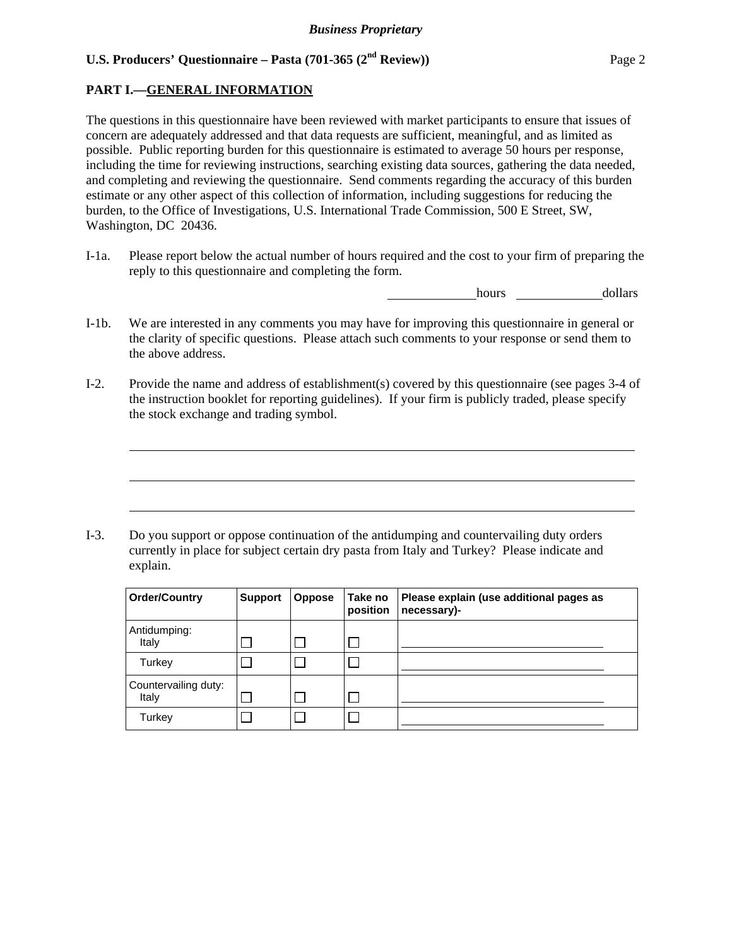## **PART I.—GENERAL INFORMATION**

 $\overline{a}$ 

 $\overline{a}$ 

 $\overline{a}$ 

The questions in this questionnaire have been reviewed with market participants to ensure that issues of concern are adequately addressed and that data requests are sufficient, meaningful, and as limited as possible. Public reporting burden for this questionnaire is estimated to average 50 hours per response, including the time for reviewing instructions, searching existing data sources, gathering the data needed, and completing and reviewing the questionnaire. Send comments regarding the accuracy of this burden estimate or any other aspect of this collection of information, including suggestions for reducing the burden, to the Office of Investigations, U.S. International Trade Commission, 500 E Street, SW, Washington, DC 20436.

I-1a. Please report below the actual number of hours required and the cost to your firm of preparing the reply to this questionnaire and completing the form.

hours dollars

- I-1b. We are interested in any comments you may have for improving this questionnaire in general or the clarity of specific questions. Please attach such comments to your response or send them to the above address.
- I-2. Provide the name and address of establishment(s) covered by this questionnaire (see pages 3-4 of the instruction booklet for reporting guidelines). If your firm is publicly traded, please specify the stock exchange and trading symbol.

I-3. Do you support or oppose continuation of the antidumping and countervailing duty orders currently in place for subject certain dry pasta from Italy and Turkey? Please indicate and explain.

| <b>Order/Country</b>          | <b>Support</b> | <b>Oppose</b> | Take no<br>position | Please explain (use additional pages as<br>necessary)- |
|-------------------------------|----------------|---------------|---------------------|--------------------------------------------------------|
| Antidumping:<br>Italy         |                |               |                     |                                                        |
| Turkey                        |                |               |                     |                                                        |
| Countervailing duty:<br>Italy |                |               |                     |                                                        |
| Turkey                        |                |               |                     |                                                        |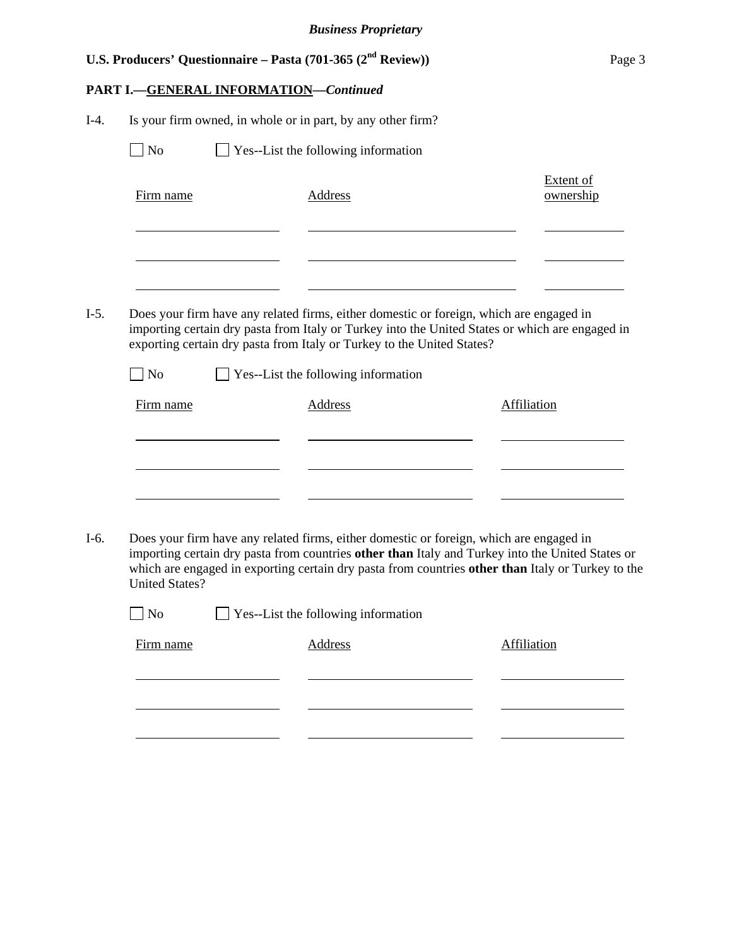| <b>PART I.-GENERAL INFORMATION-Continued</b><br>Is your firm owned, in whole or in part, by any other firm?<br>$I-4.$<br>N <sub>o</sub><br>Yes--List the following information<br><b>Extent of</b><br>Firm name<br><b>Address</b><br>ownership<br>$I-5.$<br>Does your firm have any related firms, either domestic or foreign, which are engaged in<br>importing certain dry pasta from Italy or Turkey into the United States or which are engaged in<br>exporting certain dry pasta from Italy or Turkey to the United States?<br>$\Box$ No<br>$\Box$ Yes--List the following information<br>Firm name<br><b>Address</b><br>Affiliation<br>Does your firm have any related firms, either domestic or foreign, which are engaged in<br>$I-6.$<br>importing certain dry pasta from countries other than Italy and Turkey into the United States or<br>which are engaged in exporting certain dry pasta from countries other than Italy or Turkey to the<br><b>United States?</b><br>N <sub>o</sub><br>Yes--List the following information<br><b>Address</b><br>Firm name<br>Affiliation |  | U.S. Producers' Questionnaire – Pasta (701-365 $(2nd$ Review)) | Page 3 |
|-----------------------------------------------------------------------------------------------------------------------------------------------------------------------------------------------------------------------------------------------------------------------------------------------------------------------------------------------------------------------------------------------------------------------------------------------------------------------------------------------------------------------------------------------------------------------------------------------------------------------------------------------------------------------------------------------------------------------------------------------------------------------------------------------------------------------------------------------------------------------------------------------------------------------------------------------------------------------------------------------------------------------------------------------------------------------------------------|--|----------------------------------------------------------------|--------|
|                                                                                                                                                                                                                                                                                                                                                                                                                                                                                                                                                                                                                                                                                                                                                                                                                                                                                                                                                                                                                                                                                         |  |                                                                |        |
|                                                                                                                                                                                                                                                                                                                                                                                                                                                                                                                                                                                                                                                                                                                                                                                                                                                                                                                                                                                                                                                                                         |  |                                                                |        |
|                                                                                                                                                                                                                                                                                                                                                                                                                                                                                                                                                                                                                                                                                                                                                                                                                                                                                                                                                                                                                                                                                         |  |                                                                |        |
|                                                                                                                                                                                                                                                                                                                                                                                                                                                                                                                                                                                                                                                                                                                                                                                                                                                                                                                                                                                                                                                                                         |  |                                                                |        |
|                                                                                                                                                                                                                                                                                                                                                                                                                                                                                                                                                                                                                                                                                                                                                                                                                                                                                                                                                                                                                                                                                         |  |                                                                |        |
|                                                                                                                                                                                                                                                                                                                                                                                                                                                                                                                                                                                                                                                                                                                                                                                                                                                                                                                                                                                                                                                                                         |  |                                                                |        |
|                                                                                                                                                                                                                                                                                                                                                                                                                                                                                                                                                                                                                                                                                                                                                                                                                                                                                                                                                                                                                                                                                         |  |                                                                |        |
|                                                                                                                                                                                                                                                                                                                                                                                                                                                                                                                                                                                                                                                                                                                                                                                                                                                                                                                                                                                                                                                                                         |  |                                                                |        |
|                                                                                                                                                                                                                                                                                                                                                                                                                                                                                                                                                                                                                                                                                                                                                                                                                                                                                                                                                                                                                                                                                         |  |                                                                |        |
|                                                                                                                                                                                                                                                                                                                                                                                                                                                                                                                                                                                                                                                                                                                                                                                                                                                                                                                                                                                                                                                                                         |  |                                                                |        |
|                                                                                                                                                                                                                                                                                                                                                                                                                                                                                                                                                                                                                                                                                                                                                                                                                                                                                                                                                                                                                                                                                         |  |                                                                |        |
|                                                                                                                                                                                                                                                                                                                                                                                                                                                                                                                                                                                                                                                                                                                                                                                                                                                                                                                                                                                                                                                                                         |  |                                                                |        |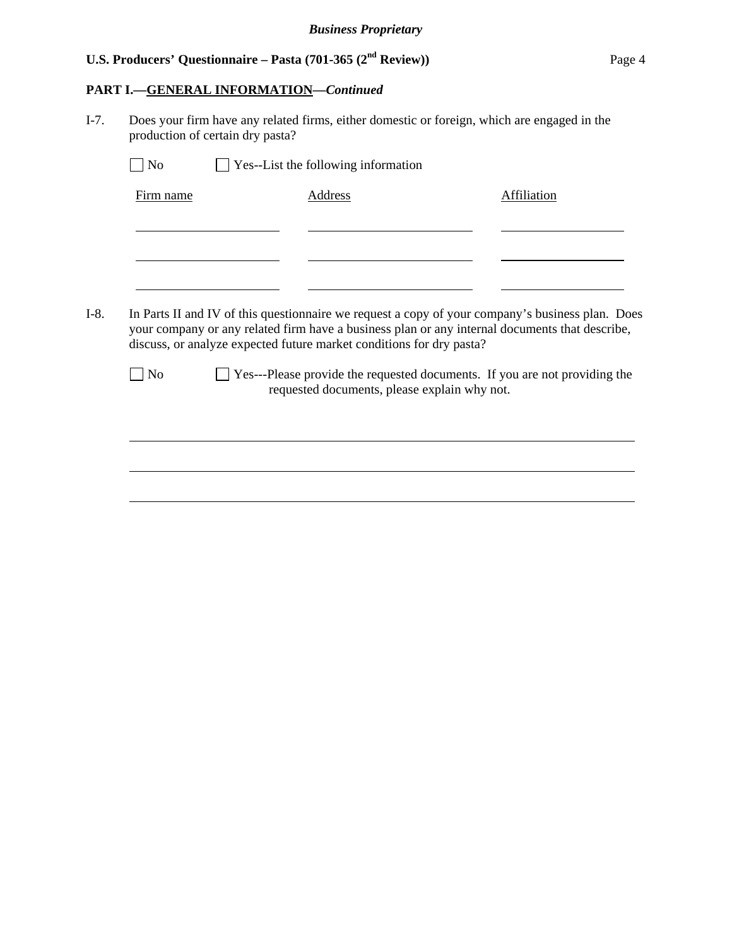# **PART I.—GENERAL INFORMATION—***Continued*

 $\overline{a}$ 

| Firm name      | <b>Address</b>                                                                                                                                                                                                                                                             | Affiliation |
|----------------|----------------------------------------------------------------------------------------------------------------------------------------------------------------------------------------------------------------------------------------------------------------------------|-------------|
|                |                                                                                                                                                                                                                                                                            |             |
|                |                                                                                                                                                                                                                                                                            |             |
|                |                                                                                                                                                                                                                                                                            |             |
|                |                                                                                                                                                                                                                                                                            |             |
|                | In Parts II and IV of this questionnaire we request a copy of your company's business plan. Does<br>your company or any related firm have a business plan or any internal documents that describe,<br>discuss, or analyze expected future market conditions for dry pasta? |             |
| N <sub>o</sub> | Yes---Please provide the requested documents. If you are not providing the<br>requested documents, please explain why not.                                                                                                                                                 |             |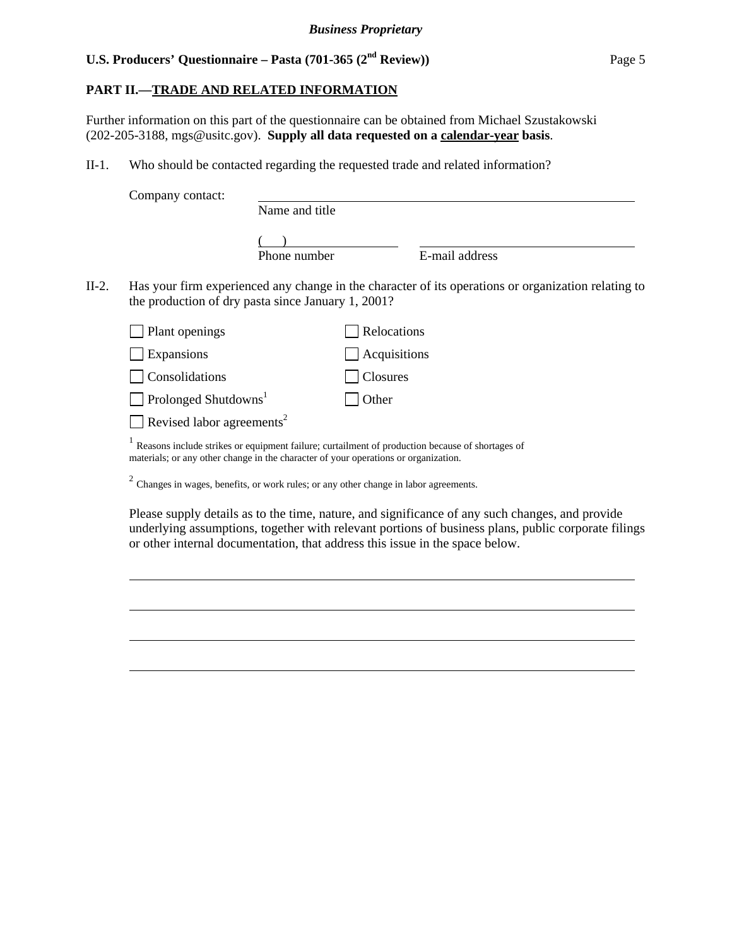## **PART II.—TRADE AND RELATED INFORMATION**

Further information on this part of the questionnaire can be obtained from Michael Szustakowski (202-205-3188, mgs@usitc.gov). **Supply all data requested on a calendar-year basis**.

II-1. Who should be contacted regarding the requested trade and related information?

|       | Company contact:                                                                    |                |              |                                                                                                     |
|-------|-------------------------------------------------------------------------------------|----------------|--------------|-----------------------------------------------------------------------------------------------------|
|       |                                                                                     | Name and title |              |                                                                                                     |
|       |                                                                                     | Phone number   |              | E-mail address                                                                                      |
| II-2. | the production of dry pasta since January 1, 2001?                                  |                |              | Has your firm experienced any change in the character of its operations or organization relating to |
|       | Plant openings                                                                      |                | Relocations  |                                                                                                     |
|       | Expansions                                                                          |                | Acquisitions |                                                                                                     |
|       | Consolidations                                                                      |                | Closures     |                                                                                                     |
|       | Prolonged Shutdowns <sup>1</sup>                                                    |                | Other        |                                                                                                     |
|       | Revised labor agreements <sup>2</sup>                                               |                |              |                                                                                                     |
|       | materials; or any other change in the character of your operations or organization. |                |              | Reasons include strikes or equipment failure; curtailment of production because of shortages of     |

<sup>2</sup> Changes in wages, benefits, or work rules; or any other change in labor agreements.

l

 $\overline{a}$ 

 $\overline{a}$ 

 $\overline{a}$ 

Please supply details as to the time, nature, and significance of any such changes, and provide underlying assumptions, together with relevant portions of business plans, public corporate filings or other internal documentation, that address this issue in the space below.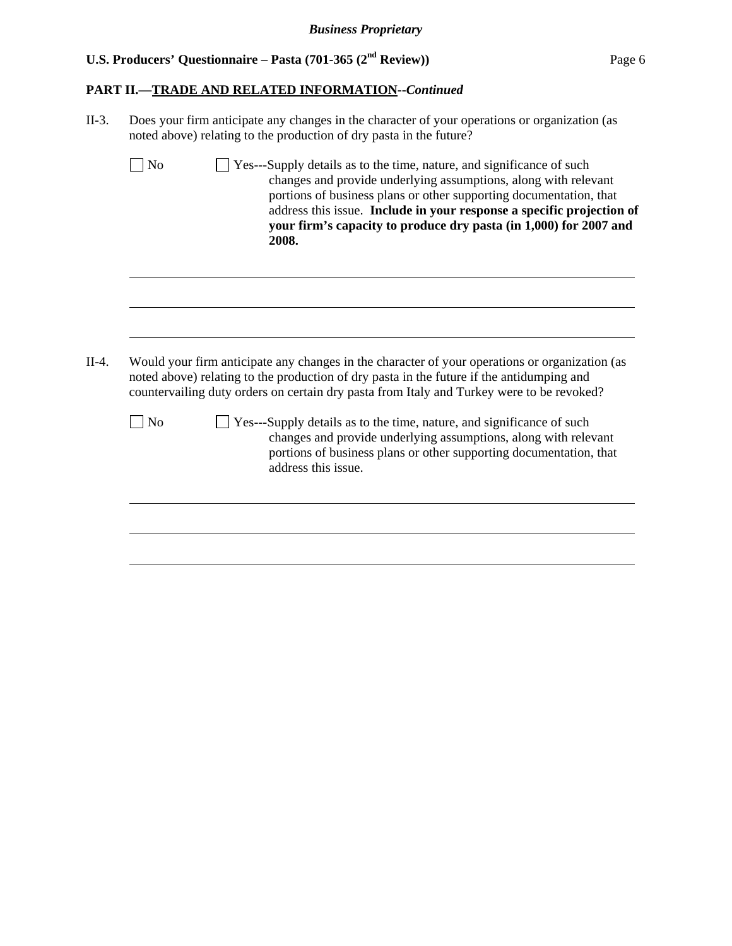$\overline{a}$ 

# **PART II.—TRADE AND RELATED INFORMATION--***Continued*

| $II-3.$ |                | Does your firm anticipate any changes in the character of your operations or organization (as<br>noted above) relating to the production of dry pasta in the future?                                                                                                                                                                                                    |  |  |  |  |  |  |
|---------|----------------|-------------------------------------------------------------------------------------------------------------------------------------------------------------------------------------------------------------------------------------------------------------------------------------------------------------------------------------------------------------------------|--|--|--|--|--|--|
|         | No             | □ Yes---Supply details as to the time, nature, and significance of such<br>changes and provide underlying assumptions, along with relevant<br>portions of business plans or other supporting documentation, that<br>address this issue. Include in your response a specific projection of<br>your firm's capacity to produce dry pasta (in 1,000) for 2007 and<br>2008. |  |  |  |  |  |  |
|         |                |                                                                                                                                                                                                                                                                                                                                                                         |  |  |  |  |  |  |
| $II-4.$ |                | Would your firm anticipate any changes in the character of your operations or organization (as<br>noted above) relating to the production of dry pasta in the future if the antidumping and<br>countervailing duty orders on certain dry pasta from Italy and Turkey were to be revoked?                                                                                |  |  |  |  |  |  |
|         | N <sub>0</sub> | □ Yes---Supply details as to the time, nature, and significance of such<br>changes and provide underlying assumptions, along with relevant<br>portions of business plans or other supporting documentation, that<br>address this issue.                                                                                                                                 |  |  |  |  |  |  |
|         |                |                                                                                                                                                                                                                                                                                                                                                                         |  |  |  |  |  |  |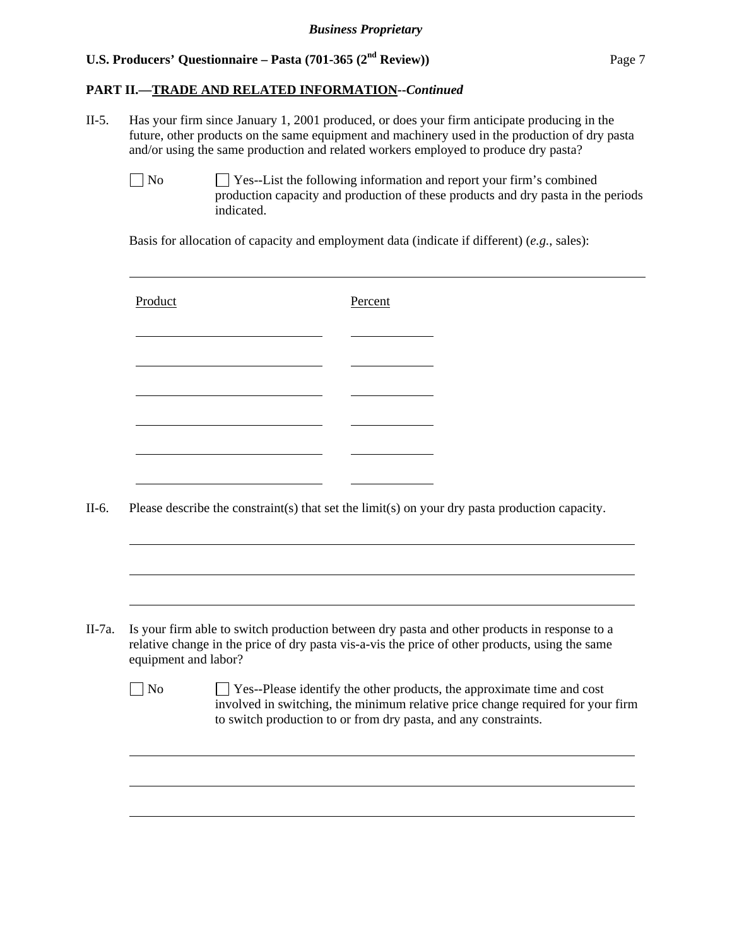### **PART II.—TRADE AND RELATED INFORMATION--***Continued*

- II-5. Has your firm since January 1, 2001 produced, or does your firm anticipate producing in the future, other products on the same equipment and machinery used in the production of dry pasta and/or using the same production and related workers employed to produce dry pasta?
	- No Ses--List the following information and report your firm's combined production capacity and production of these products and dry pasta in the periods indicated.

Basis for allocation of capacity and employment data (indicate if different) (*e.g.*, sales):

|                      | Please describe the constraint(s) that set the limit(s) on your dry pasta production capacity.  |  |  |
|----------------------|-------------------------------------------------------------------------------------------------|--|--|
|                      |                                                                                                 |  |  |
|                      |                                                                                                 |  |  |
|                      |                                                                                                 |  |  |
|                      |                                                                                                 |  |  |
|                      | Is your firm able to switch production between dry pasta and other products in response to a    |  |  |
| equipment and labor? | relative change in the price of dry pasta vis-a-vis the price of other products, using the same |  |  |
| N <sub>o</sub>       | $\Box$ Yes--Please identify the other products, the approximate time and cost                   |  |  |
|                      | involved in switching, the minimum relative price change required for your firm                 |  |  |
|                      | to switch production to or from dry pasta, and any constraints.                                 |  |  |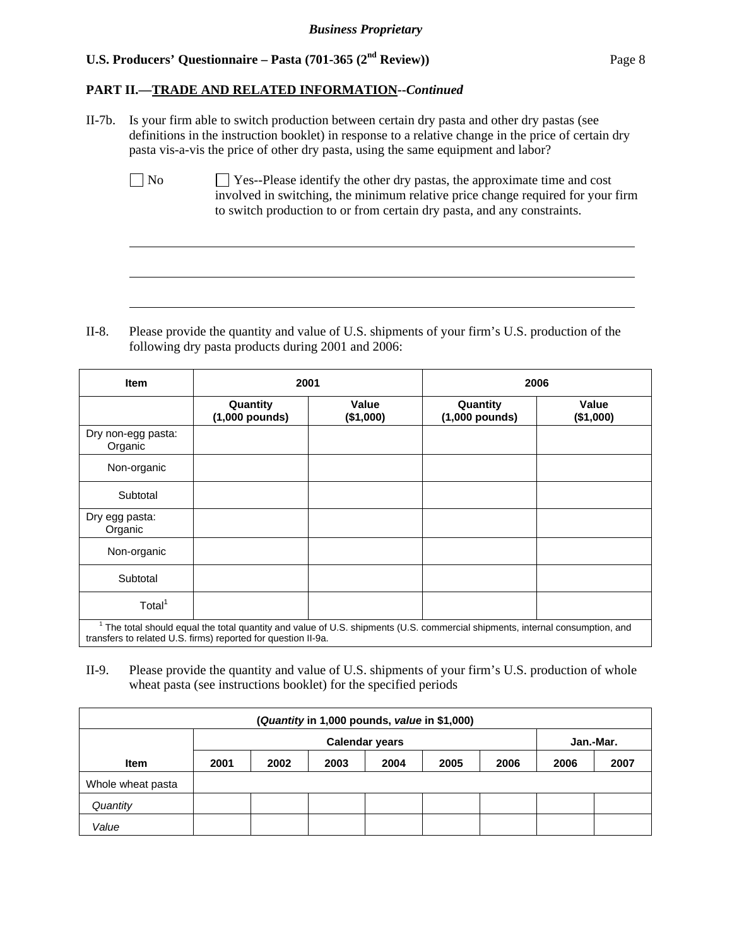$\overline{a}$ 

 $\overline{a}$ 

 $\overline{a}$ 

### **PART II.—TRADE AND RELATED INFORMATION--***Continued*

- II-7b. Is your firm able to switch production between certain dry pasta and other dry pastas (see definitions in the instruction booklet) in response to a relative change in the price of certain dry pasta vis-a-vis the price of other dry pasta, using the same equipment and labor?
	- $\Box$  No  $\Box$  Yes--Please identify the other dry pastas, the approximate time and cost involved in switching, the minimum relative price change required for your firm to switch production to or from certain dry pasta, and any constraints.

II-8. Please provide the quantity and value of U.S. shipments of your firm's U.S. production of the following dry pasta products during 2001 and 2006:

| <b>Item</b>                                                                                                                                                                                  | 2001                         |                    | 2006                         |                    |  |  |
|----------------------------------------------------------------------------------------------------------------------------------------------------------------------------------------------|------------------------------|--------------------|------------------------------|--------------------|--|--|
|                                                                                                                                                                                              | Quantity<br>$(1,000$ pounds) | Value<br>(\$1,000) | Quantity<br>$(1,000$ pounds) | Value<br>(\$1,000) |  |  |
| Dry non-egg pasta:<br>Organic                                                                                                                                                                |                              |                    |                              |                    |  |  |
| Non-organic                                                                                                                                                                                  |                              |                    |                              |                    |  |  |
| Subtotal                                                                                                                                                                                     |                              |                    |                              |                    |  |  |
| Dry egg pasta:<br>Organic                                                                                                                                                                    |                              |                    |                              |                    |  |  |
| Non-organic                                                                                                                                                                                  |                              |                    |                              |                    |  |  |
| Subtotal                                                                                                                                                                                     |                              |                    |                              |                    |  |  |
| Total <sup>1</sup>                                                                                                                                                                           |                              |                    |                              |                    |  |  |
| The total should equal the total quantity and value of U.S. shipments (U.S. commercial shipments, internal consumption, and<br>transfers to related U.S. firms) reported for question II-9a. |                              |                    |                              |                    |  |  |

II-9. Please provide the quantity and value of U.S. shipments of your firm's U.S. production of whole wheat pasta (see instructions booklet) for the specified periods

| (Quantity in 1,000 pounds, value in \$1,000) |      |                                    |      |      |      |      |      |      |
|----------------------------------------------|------|------------------------------------|------|------|------|------|------|------|
|                                              |      | <b>Calendar years</b><br>Jan.-Mar. |      |      |      |      |      |      |
| <b>Item</b>                                  | 2001 | 2002                               | 2003 | 2004 | 2005 | 2006 | 2006 | 2007 |
| Whole wheat pasta                            |      |                                    |      |      |      |      |      |      |
| Quantity                                     |      |                                    |      |      |      |      |      |      |
| Value                                        |      |                                    |      |      |      |      |      |      |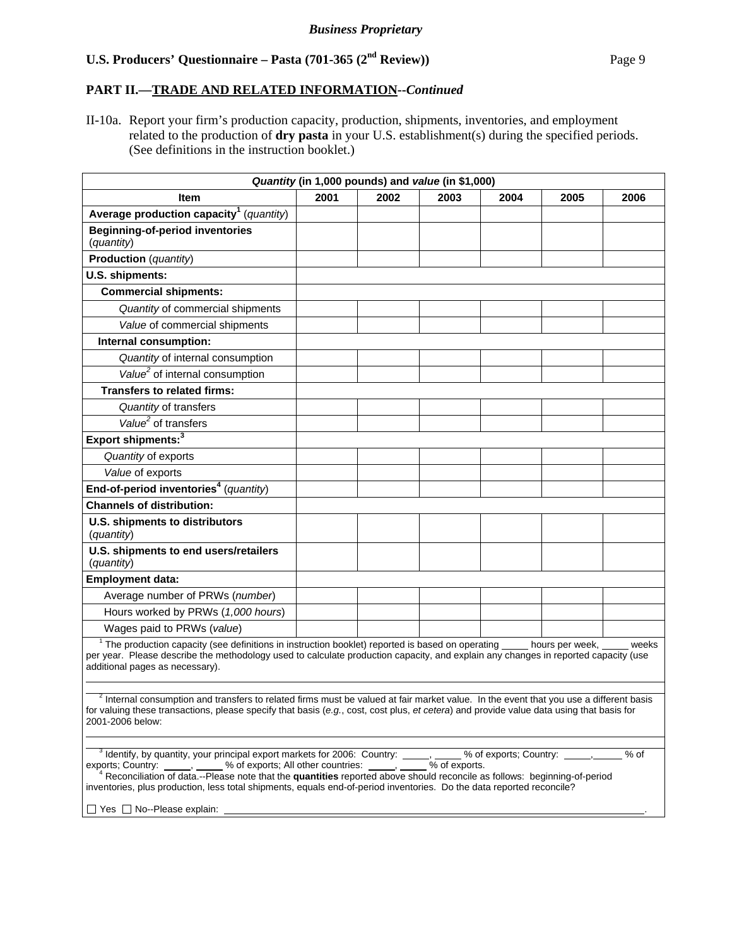### **PART II.—TRADE AND RELATED INFORMATION--***Continued*

II-10a. Report your firm's production capacity, production, shipments, inventories, and employment related to the production of **dry pasta** in your U.S. establishment(s) during the specified periods. (See definitions in the instruction booklet.)

| Quantity (in 1,000 pounds) and value (in \$1,000)                                                                                                                                                                                                                                                                                                                                                                                     |      |      |      |      |                             |      |
|---------------------------------------------------------------------------------------------------------------------------------------------------------------------------------------------------------------------------------------------------------------------------------------------------------------------------------------------------------------------------------------------------------------------------------------|------|------|------|------|-----------------------------|------|
| <b>Item</b>                                                                                                                                                                                                                                                                                                                                                                                                                           | 2001 | 2002 | 2003 | 2004 | 2005                        | 2006 |
| Average production capacity <sup>1</sup> (quantity)                                                                                                                                                                                                                                                                                                                                                                                   |      |      |      |      |                             |      |
| <b>Beginning-of-period inventories</b><br>(quantity)                                                                                                                                                                                                                                                                                                                                                                                  |      |      |      |      |                             |      |
| <b>Production</b> (quantity)                                                                                                                                                                                                                                                                                                                                                                                                          |      |      |      |      |                             |      |
| U.S. shipments:                                                                                                                                                                                                                                                                                                                                                                                                                       |      |      |      |      |                             |      |
| <b>Commercial shipments:</b>                                                                                                                                                                                                                                                                                                                                                                                                          |      |      |      |      |                             |      |
| Quantity of commercial shipments                                                                                                                                                                                                                                                                                                                                                                                                      |      |      |      |      |                             |      |
| Value of commercial shipments                                                                                                                                                                                                                                                                                                                                                                                                         |      |      |      |      |                             |      |
| Internal consumption:                                                                                                                                                                                                                                                                                                                                                                                                                 |      |      |      |      |                             |      |
| Quantity of internal consumption                                                                                                                                                                                                                                                                                                                                                                                                      |      |      |      |      |                             |      |
| Value <sup>2</sup> of internal consumption                                                                                                                                                                                                                                                                                                                                                                                            |      |      |      |      |                             |      |
| <b>Transfers to related firms:</b>                                                                                                                                                                                                                                                                                                                                                                                                    |      |      |      |      |                             |      |
| Quantity of transfers                                                                                                                                                                                                                                                                                                                                                                                                                 |      |      |      |      |                             |      |
| Value <sup>2</sup> of transfers                                                                                                                                                                                                                                                                                                                                                                                                       |      |      |      |      |                             |      |
| Export shipments: <sup>3</sup>                                                                                                                                                                                                                                                                                                                                                                                                        |      |      |      |      |                             |      |
| Quantity of exports                                                                                                                                                                                                                                                                                                                                                                                                                   |      |      |      |      |                             |      |
| Value of exports                                                                                                                                                                                                                                                                                                                                                                                                                      |      |      |      |      |                             |      |
| End-of-period inventories <sup>4</sup> (quantity)                                                                                                                                                                                                                                                                                                                                                                                     |      |      |      |      |                             |      |
| <b>Channels of distribution:</b>                                                                                                                                                                                                                                                                                                                                                                                                      |      |      |      |      |                             |      |
| U.S. shipments to distributors<br>(quantity)                                                                                                                                                                                                                                                                                                                                                                                          |      |      |      |      |                             |      |
| U.S. shipments to end users/retailers<br>(quantity)                                                                                                                                                                                                                                                                                                                                                                                   |      |      |      |      |                             |      |
| <b>Employment data:</b>                                                                                                                                                                                                                                                                                                                                                                                                               |      |      |      |      |                             |      |
| Average number of PRWs (number)                                                                                                                                                                                                                                                                                                                                                                                                       |      |      |      |      |                             |      |
| Hours worked by PRWs (1,000 hours)                                                                                                                                                                                                                                                                                                                                                                                                    |      |      |      |      |                             |      |
| Wages paid to PRWs (value)                                                                                                                                                                                                                                                                                                                                                                                                            |      |      |      |      |                             |      |
| <sup>1</sup> The production capacity (see definitions in instruction booklet) reported is based on operating _____ hours per week, _____ weeks<br>per year. Please describe the methodology used to calculate production capacity, and explain any changes in reported capacity (use<br>additional pages as necessary).                                                                                                               |      |      |      |      |                             |      |
|                                                                                                                                                                                                                                                                                                                                                                                                                                       |      |      |      |      |                             |      |
| $2$ Internal consumption and transfers to related firms must be valued at fair market value. In the event that you use a different basis<br>for valuing these transactions, please specify that basis (e.g., cost, cost plus, et cetera) and provide value data using that basis for<br>2001-2006 below:                                                                                                                              |      |      |      |      |                             |      |
|                                                                                                                                                                                                                                                                                                                                                                                                                                       |      |      |      |      |                             |      |
| <sup>3</sup> Identify, by quantity, your principal export markets for 2006: Country: $\frac{1}{\sqrt{2}}$ , $\frac{1}{\sqrt{2}}$ % of exports.<br>exports; Country:<br><sup>4</sup> Reconciliation of data.--Please note that the quantities reported above should reconcile as follows: beginning-of-period<br>inventories, plus production, less total shipments, equals end-of-period inventories. Do the data reported reconcile? |      |      |      |      | % of exports; Country: \[\] | % of |

Ves □ No--Please explain: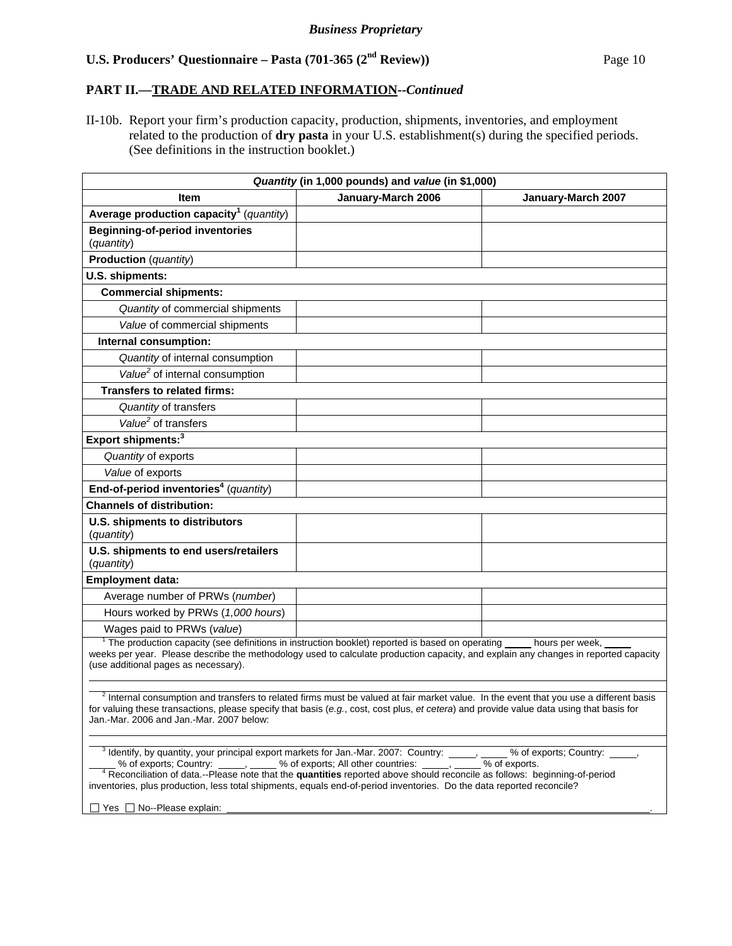### **PART II.—TRADE AND RELATED INFORMATION--***Continued*

II-10b. Report your firm's production capacity, production, shipments, inventories, and employment related to the production of **dry pasta** in your U.S. establishment(s) during the specified periods. (See definitions in the instruction booklet.)

| Quantity (in 1,000 pounds) and value (in \$1,000)                                                                                                                                                                                                                                                                                         |                    |                    |  |  |  |  |
|-------------------------------------------------------------------------------------------------------------------------------------------------------------------------------------------------------------------------------------------------------------------------------------------------------------------------------------------|--------------------|--------------------|--|--|--|--|
| <b>Item</b>                                                                                                                                                                                                                                                                                                                               | January-March 2006 | January-March 2007 |  |  |  |  |
| Average production capacity <sup>1</sup> (quantity)                                                                                                                                                                                                                                                                                       |                    |                    |  |  |  |  |
| <b>Beginning-of-period inventories</b><br>(quantity)                                                                                                                                                                                                                                                                                      |                    |                    |  |  |  |  |
| <b>Production</b> (quantity)                                                                                                                                                                                                                                                                                                              |                    |                    |  |  |  |  |
| U.S. shipments:                                                                                                                                                                                                                                                                                                                           |                    |                    |  |  |  |  |
| <b>Commercial shipments:</b>                                                                                                                                                                                                                                                                                                              |                    |                    |  |  |  |  |
| Quantity of commercial shipments                                                                                                                                                                                                                                                                                                          |                    |                    |  |  |  |  |
| Value of commercial shipments                                                                                                                                                                                                                                                                                                             |                    |                    |  |  |  |  |
| Internal consumption:                                                                                                                                                                                                                                                                                                                     |                    |                    |  |  |  |  |
| Quantity of internal consumption                                                                                                                                                                                                                                                                                                          |                    |                    |  |  |  |  |
| Value <sup>2</sup> of internal consumption                                                                                                                                                                                                                                                                                                |                    |                    |  |  |  |  |
| <b>Transfers to related firms:</b>                                                                                                                                                                                                                                                                                                        |                    |                    |  |  |  |  |
| Quantity of transfers                                                                                                                                                                                                                                                                                                                     |                    |                    |  |  |  |  |
| Value <sup>2</sup> of transfers                                                                                                                                                                                                                                                                                                           |                    |                    |  |  |  |  |
| Export shipments: <sup>3</sup>                                                                                                                                                                                                                                                                                                            |                    |                    |  |  |  |  |
| Quantity of exports                                                                                                                                                                                                                                                                                                                       |                    |                    |  |  |  |  |
| Value of exports                                                                                                                                                                                                                                                                                                                          |                    |                    |  |  |  |  |
| End-of-period inventories <sup>4</sup> (quantity)                                                                                                                                                                                                                                                                                         |                    |                    |  |  |  |  |
| <b>Channels of distribution:</b>                                                                                                                                                                                                                                                                                                          |                    |                    |  |  |  |  |
| U.S. shipments to distributors<br>(quantity)                                                                                                                                                                                                                                                                                              |                    |                    |  |  |  |  |
| U.S. shipments to end users/retailers<br>(quantity)                                                                                                                                                                                                                                                                                       |                    |                    |  |  |  |  |
| <b>Employment data:</b>                                                                                                                                                                                                                                                                                                                   |                    |                    |  |  |  |  |
| Average number of PRWs (number)                                                                                                                                                                                                                                                                                                           |                    |                    |  |  |  |  |
| Hours worked by PRWs (1,000 hours)                                                                                                                                                                                                                                                                                                        |                    |                    |  |  |  |  |
| Wages paid to PRWs (value)                                                                                                                                                                                                                                                                                                                |                    |                    |  |  |  |  |
| <sup>1</sup> The production capacity (see definitions in instruction booklet) reported is based on operating<br>hours per week,<br>weeks per year. Please describe the methodology used to calculate production capacity, and explain any changes in reported capacity<br>(use additional pages as necessary).                            |                    |                    |  |  |  |  |
| <sup>2</sup> Internal consumption and transfers to related firms must be valued at fair market value. In the event that you use a different basis<br>for valuing these transactions, please specify that basis (e.g., cost, cost plus, et cetera) and provide value data using that basis for<br>Jan.-Mar. 2006 and Jan.-Mar. 2007 below: |                    |                    |  |  |  |  |

 $\frac{3}{2}$  Identify, by quantity, your principal export markets for Jan.-Mar. 2007: Country:  $\frac{1}{2}$ ,  $\frac{3}{2}$  % of exports; Country:  $\frac{1}{2}$ , % of exports; Country: **, but a set of the sect of exports**; All other countries: **, but a sect of exports.** 4 Reconciliation of data.--Please note that the **quantities** reported above should reconcile as follows: beginnin

inventories, plus production, less total shipments, equals end-of-period inventories. Do the data reported reconcile?

 $\Box$  Yes  $\Box$  No--Please explain: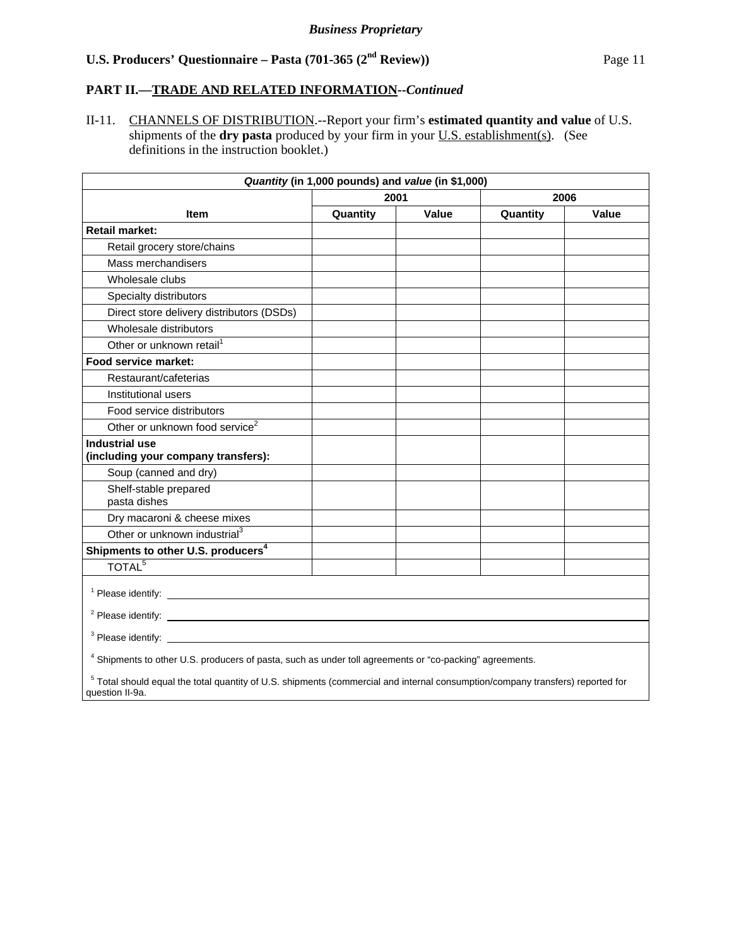## **PART II.—TRADE AND RELATED INFORMATION--***Continued*

II-11. CHANNELS OF DISTRIBUTION.--Report your firm's **estimated quantity and value** of U.S. shipments of the **dry pasta** produced by your firm in your <u>U.S. establishment(s)</u>. (See definitions in the instruction booklet.)

| Quantity (in 1,000 pounds) and value (in \$1,000)                                                                                |          |       |          |       |  |  |  |
|----------------------------------------------------------------------------------------------------------------------------------|----------|-------|----------|-------|--|--|--|
|                                                                                                                                  | 2001     |       | 2006     |       |  |  |  |
| <b>Item</b>                                                                                                                      | Quantity | Value | Quantity | Value |  |  |  |
| <b>Retail market:</b>                                                                                                            |          |       |          |       |  |  |  |
| Retail grocery store/chains                                                                                                      |          |       |          |       |  |  |  |
| Mass merchandisers                                                                                                               |          |       |          |       |  |  |  |
| Wholesale clubs                                                                                                                  |          |       |          |       |  |  |  |
| Specialty distributors                                                                                                           |          |       |          |       |  |  |  |
| Direct store delivery distributors (DSDs)                                                                                        |          |       |          |       |  |  |  |
| Wholesale distributors                                                                                                           |          |       |          |       |  |  |  |
| Other or unknown retail <sup>1</sup>                                                                                             |          |       |          |       |  |  |  |
| Food service market:                                                                                                             |          |       |          |       |  |  |  |
| Restaurant/cafeterias                                                                                                            |          |       |          |       |  |  |  |
| Institutional users                                                                                                              |          |       |          |       |  |  |  |
| Food service distributors                                                                                                        |          |       |          |       |  |  |  |
| Other or unknown food service <sup>2</sup>                                                                                       |          |       |          |       |  |  |  |
| <b>Industrial use</b>                                                                                                            |          |       |          |       |  |  |  |
| (including your company transfers):                                                                                              |          |       |          |       |  |  |  |
| Soup (canned and dry)                                                                                                            |          |       |          |       |  |  |  |
| Shelf-stable prepared                                                                                                            |          |       |          |       |  |  |  |
| pasta dishes                                                                                                                     |          |       |          |       |  |  |  |
| Dry macaroni & cheese mixes                                                                                                      |          |       |          |       |  |  |  |
| Other or unknown industrial <sup>3</sup>                                                                                         |          |       |          |       |  |  |  |
| Shipments to other U.S. producers <sup>4</sup>                                                                                   |          |       |          |       |  |  |  |
| TOTAL <sup>5</sup>                                                                                                               |          |       |          |       |  |  |  |
|                                                                                                                                  |          |       |          |       |  |  |  |
| <sup>2</sup> Please identify: <b>Example 2</b>                                                                                   |          |       |          |       |  |  |  |
| $3$ Please identify: $\_\_$                                                                                                      |          |       |          |       |  |  |  |
| <sup>4</sup> Shipments to other U.S. producers of pasta, such as under toll agreements or "co-packing" agreements.               |          |       |          |       |  |  |  |
| $5$ Total abould equal the total quantity of LLC, objements (commercial and internal consumption/company transform) reported for |          |       |          |       |  |  |  |

 5 Total should equal the total quantity of U.S. shipments (commercial and internal consumption/company transfers) reported for question II-9a.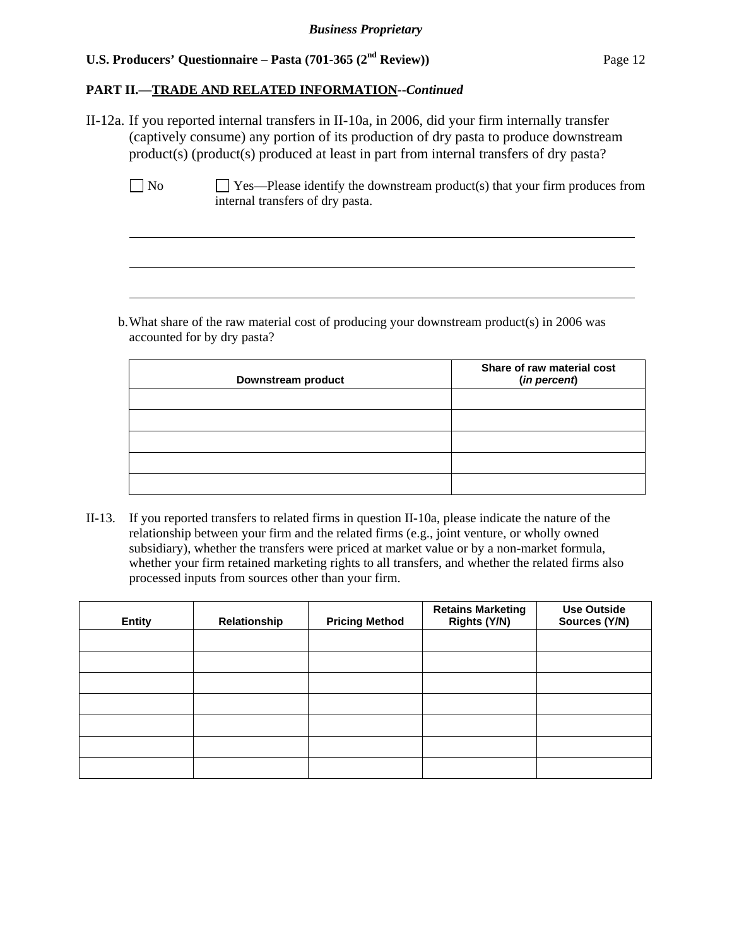## **PART II.—TRADE AND RELATED INFORMATION--***Continued*

II-12a. If you reported internal transfers in II-10a, in 2006, did your firm internally transfer (captively consume) any portion of its production of dry pasta to produce downstream product(s) (product(s) produced at least in part from internal transfers of dry pasta?

 $\overline{a}$ 

 $\overline{a}$ 

 $\overline{a}$ 

 $\Box$  No  $\Box$  Yes—Please identify the downstream product(s) that your firm produces from internal transfers of dry pasta.

b. What share of the raw material cost of producing your downstream product(s) in 2006 was accounted for by dry pasta?

| Downstream product | Share of raw material cost<br>(in percent) |
|--------------------|--------------------------------------------|
|                    |                                            |
|                    |                                            |
|                    |                                            |
|                    |                                            |
|                    |                                            |

II-13. If you reported transfers to related firms in question II-10a, please indicate the nature of the relationship between your firm and the related firms (e.g., joint venture, or wholly owned subsidiary), whether the transfers were priced at market value or by a non-market formula, whether your firm retained marketing rights to all transfers, and whether the related firms also processed inputs from sources other than your firm.

| <b>Entity</b> | Relationship | <b>Pricing Method</b> | <b>Retains Marketing</b><br>Rights (Y/N) | <b>Use Outside</b><br>Sources (Y/N) |
|---------------|--------------|-----------------------|------------------------------------------|-------------------------------------|
|               |              |                       |                                          |                                     |
|               |              |                       |                                          |                                     |
|               |              |                       |                                          |                                     |
|               |              |                       |                                          |                                     |
|               |              |                       |                                          |                                     |
|               |              |                       |                                          |                                     |
|               |              |                       |                                          |                                     |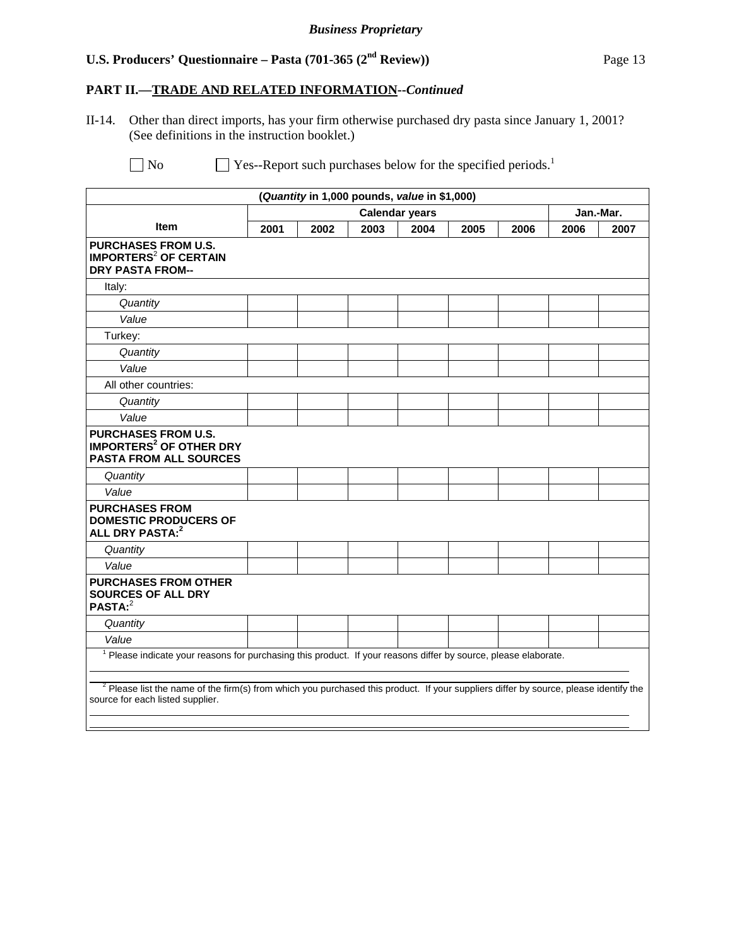# **PART II.—TRADE AND RELATED INFORMATION--***Continued*

II-14. Other than direct imports, has your firm otherwise purchased dry pasta since January 1, 2001? (See definitions in the instruction booklet.)

 $\Box$  No  $\Box$  Yes--Report such purchases below for the specified periods.<sup>1</sup>

| (Quantity in 1,000 pounds, value in \$1,000)                                                                                                                               |                       |      |      |      |      |      |           |      |
|----------------------------------------------------------------------------------------------------------------------------------------------------------------------------|-----------------------|------|------|------|------|------|-----------|------|
|                                                                                                                                                                            | <b>Calendar years</b> |      |      |      |      |      | Jan.-Mar. |      |
| <b>Item</b>                                                                                                                                                                | 2001                  | 2002 | 2003 | 2004 | 2005 | 2006 | 2006      | 2007 |
| <b>PURCHASES FROM U.S.</b><br><b>IMPORTERS<sup>2</sup> OF CERTAIN</b><br><b>DRY PASTA FROM--</b>                                                                           |                       |      |      |      |      |      |           |      |
| Italy:                                                                                                                                                                     |                       |      |      |      |      |      |           |      |
| Quantity                                                                                                                                                                   |                       |      |      |      |      |      |           |      |
| Value                                                                                                                                                                      |                       |      |      |      |      |      |           |      |
| Turkey:                                                                                                                                                                    |                       |      |      |      |      |      |           |      |
| Quantity                                                                                                                                                                   |                       |      |      |      |      |      |           |      |
| Value                                                                                                                                                                      |                       |      |      |      |      |      |           |      |
| All other countries:                                                                                                                                                       |                       |      |      |      |      |      |           |      |
| Quantity                                                                                                                                                                   |                       |      |      |      |      |      |           |      |
| Value                                                                                                                                                                      |                       |      |      |      |      |      |           |      |
| <b>PURCHASES FROM U.S.</b><br><b>IMPORTERS<sup>2</sup> OF OTHER DRY</b><br><b>PASTA FROM ALL SOURCES</b>                                                                   |                       |      |      |      |      |      |           |      |
| Quantity                                                                                                                                                                   |                       |      |      |      |      |      |           |      |
| Value                                                                                                                                                                      |                       |      |      |      |      |      |           |      |
| <b>PURCHASES FROM</b><br><b>DOMESTIC PRODUCERS OF</b><br>ALL DRY PASTA: <sup>2</sup>                                                                                       |                       |      |      |      |      |      |           |      |
| Quantity                                                                                                                                                                   |                       |      |      |      |      |      |           |      |
| Value                                                                                                                                                                      |                       |      |      |      |      |      |           |      |
| <b>PURCHASES FROM OTHER</b><br><b>SOURCES OF ALL DRY</b><br>PASTA: <sup>2</sup>                                                                                            |                       |      |      |      |      |      |           |      |
| Quantity                                                                                                                                                                   |                       |      |      |      |      |      |           |      |
| Value                                                                                                                                                                      |                       |      |      |      |      |      |           |      |
| <sup>1</sup> Please indicate your reasons for purchasing this product. If your reasons differ by source, please elaborate.                                                 |                       |      |      |      |      |      |           |      |
| $2$ Please list the name of the firm(s) from which you purchased this product. If your suppliers differ by source, please identify the<br>source for each listed supplier. |                       |      |      |      |      |      |           |      |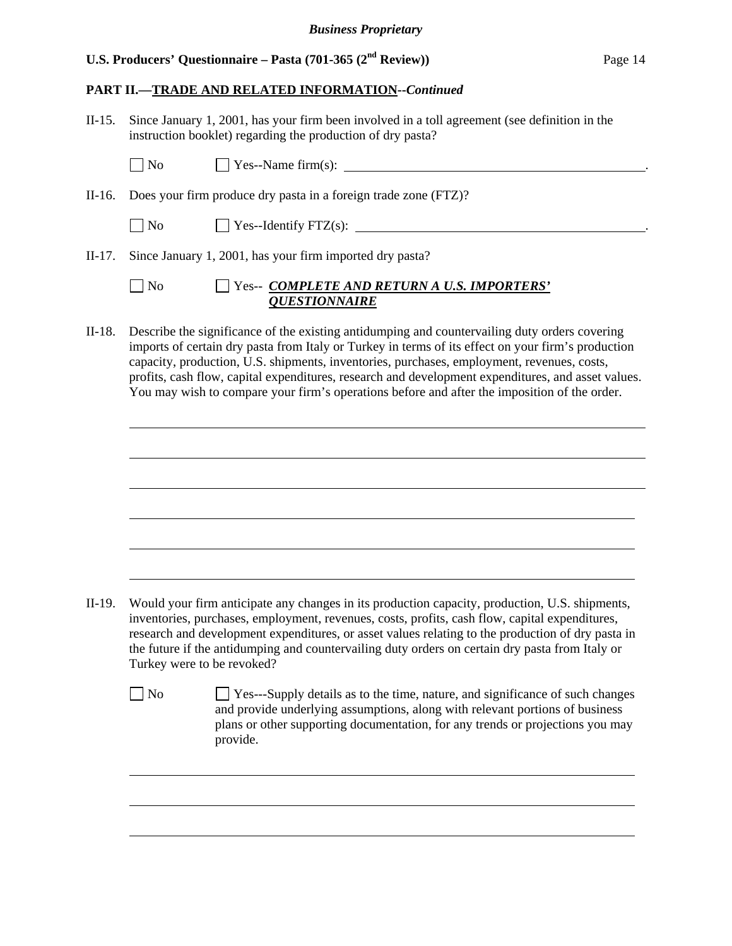## **PART II.—TRADE AND RELATED INFORMATION--***Continued*

| $II-15.$ | Since January 1, 2001, has your firm been involved in a toll agreement (see definition in the<br>instruction booklet) regarding the production of dry pasta?                                                                                                                                                                                                                                                                                                                                            |
|----------|---------------------------------------------------------------------------------------------------------------------------------------------------------------------------------------------------------------------------------------------------------------------------------------------------------------------------------------------------------------------------------------------------------------------------------------------------------------------------------------------------------|
|          | $\Box$ No                                                                                                                                                                                                                                                                                                                                                                                                                                                                                               |
| $II-16.$ | Does your firm produce dry pasta in a foreign trade zone (FTZ)?                                                                                                                                                                                                                                                                                                                                                                                                                                         |
|          | $\overline{\phantom{a}}$ No<br>$\Box$ Yes--Identify FTZ(s): $\Box$                                                                                                                                                                                                                                                                                                                                                                                                                                      |
| $II-17.$ | Since January 1, 2001, has your firm imported dry pasta?                                                                                                                                                                                                                                                                                                                                                                                                                                                |
|          | No<br>Yes-- COMPLETE AND RETURN A U.S. IMPORTERS'<br><b>QUESTIONNAIRE</b>                                                                                                                                                                                                                                                                                                                                                                                                                               |
| $II-18.$ | Describe the significance of the existing antidumping and countervailing duty orders covering<br>imports of certain dry pasta from Italy or Turkey in terms of its effect on your firm's production<br>capacity, production, U.S. shipments, inventories, purchases, employment, revenues, costs,<br>profits, cash flow, capital expenditures, research and development expenditures, and asset values.<br>You may wish to compare your firm's operations before and after the imposition of the order. |
|          |                                                                                                                                                                                                                                                                                                                                                                                                                                                                                                         |
|          |                                                                                                                                                                                                                                                                                                                                                                                                                                                                                                         |
|          |                                                                                                                                                                                                                                                                                                                                                                                                                                                                                                         |
|          |                                                                                                                                                                                                                                                                                                                                                                                                                                                                                                         |
| $II-19.$ | Would your firm anticipate any changes in its production capacity, production, U.S. shipments,<br>inventories, purchases, employment, revenues, costs, profits, cash flow, capital expenditures,                                                                                                                                                                                                                                                                                                        |

research and development expenditures, or asset values relating to the production of dry pasta in the future if the antidumping and countervailing duty orders on certain dry pasta from Italy or Turkey were to be revoked?

 $\overline{a}$ 

 $\overline{a}$ 

 $\overline{a}$ 

No  $\Box$  Yes---Supply details as to the time, nature, and significance of such changes and provide underlying assumptions, along with relevant portions of business plans or other supporting documentation, for any trends or projections you may provide.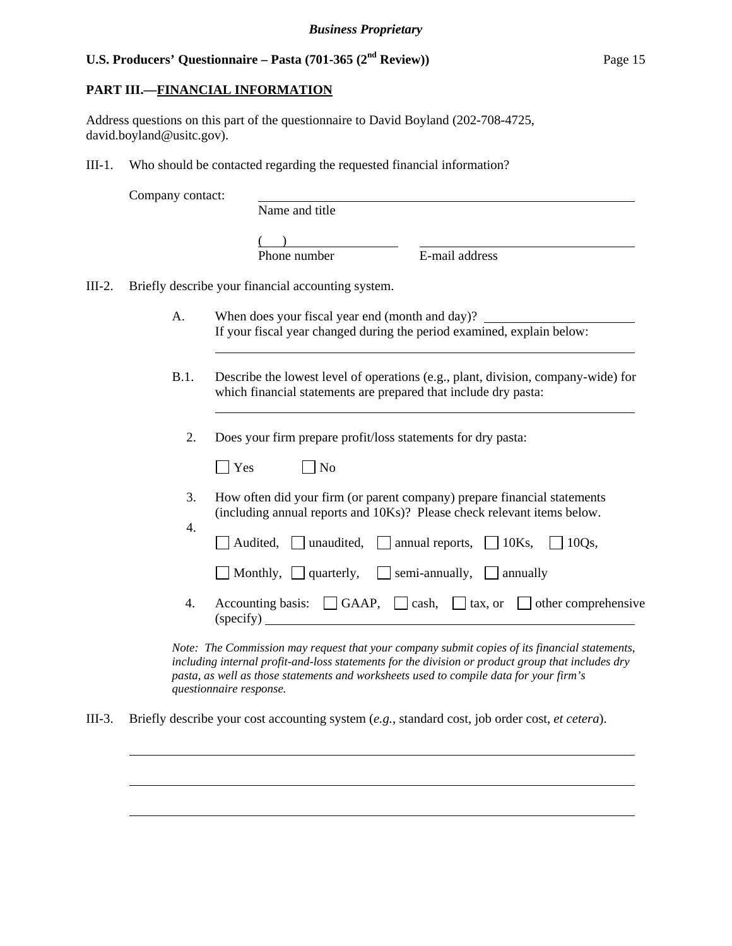## **PART III.—FINANCIAL INFORMATION**

Address questions on this part of the questionnaire to David Boyland (202-708-4725, david.boyland@usitc.gov).

III-1. Who should be contacted regarding the requested financial information?

Name and title

 $($ 

Phone number E-mail address

III-2. Briefly describe your financial accounting system.

l

l

l

 $\overline{a}$ 

 $\overline{a}$ 

- A. When does your fiscal year end (month and day)? If your fiscal year changed during the period examined, explain below:
- B.1. Describe the lowest level of operations (e.g., plant, division, company-wide) for which financial statements are prepared that include dry pasta:
	- 2. Does your firm prepare profit/loss statements for dry pasta:

|          | Does your firm prepare profit/loss statements for dry pasta:                                                                                        |
|----------|-----------------------------------------------------------------------------------------------------------------------------------------------------|
|          | Yes<br>N <sub>0</sub>                                                                                                                               |
| 3.<br>4. | How often did your firm (or parent company) prepare financial statements<br>(including annual reports and 10Ks)? Please check relevant items below. |
|          | Audited, unaudited, annual reports, $\Box$ 10Ks, $\Box$ 10Qs,                                                                                       |
|          | $\Box$ Monthly, $\Box$ quarterly, $\Box$ semi-annually, $\Box$ annually                                                                             |
| 4.       | Accounting basis: $\Box$ GAAP, $\Box$ cash, $\Box$ tax, or $\Box$ other comprehensive<br>(specify)                                                  |
|          |                                                                                                                                                     |

*Note: The Commission may request that your company submit copies of its financial statements, including internal profit-and-loss statements for the division or product group that includes dry pasta, as well as those statements and worksheets used to compile data for your firm's questionnaire response.* 

III-3. Briefly describe your cost accounting system (*e.g.*, standard cost, job order cost, *et cetera*).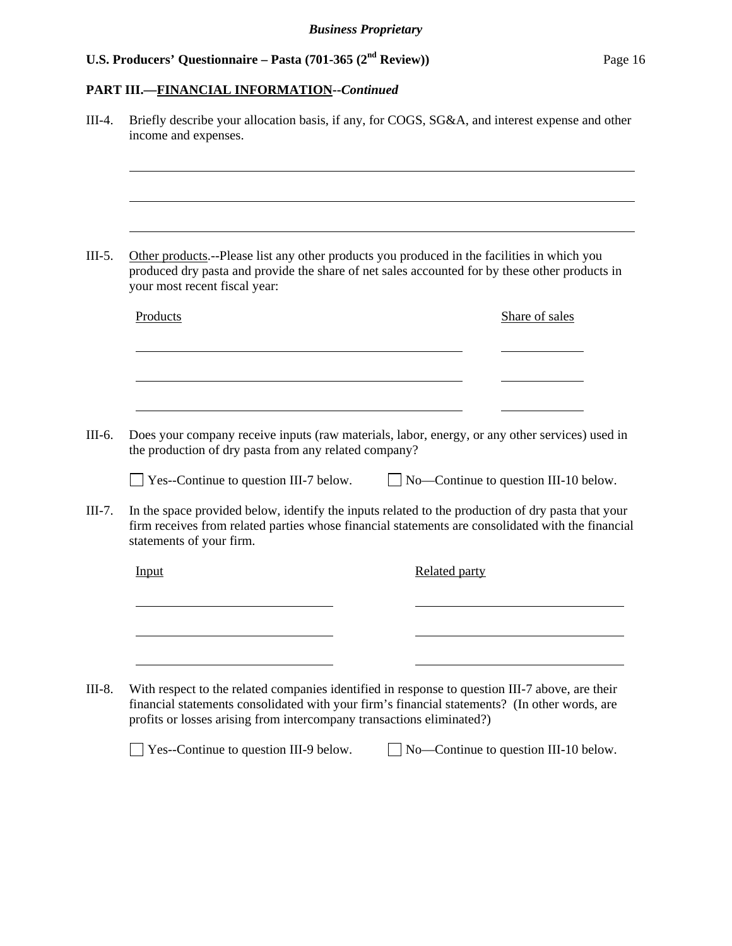# **PART III.—FINANCIAL INFORMATION--***Continued*

|          | income and expenses.                                                  | Briefly describe your allocation basis, if any, for COGS, SG&A, and interest expense and other                                                                                                                                                                                                           |
|----------|-----------------------------------------------------------------------|----------------------------------------------------------------------------------------------------------------------------------------------------------------------------------------------------------------------------------------------------------------------------------------------------------|
|          |                                                                       |                                                                                                                                                                                                                                                                                                          |
| $III-5.$ | your most recent fiscal year:                                         | Other products.--Please list any other products you produced in the facilities in which you<br>produced dry pasta and provide the share of net sales accounted for by these other products in                                                                                                            |
|          | Products                                                              | Share of sales                                                                                                                                                                                                                                                                                           |
|          |                                                                       |                                                                                                                                                                                                                                                                                                          |
|          |                                                                       |                                                                                                                                                                                                                                                                                                          |
| III-6.   | the production of dry pasta from any related company?                 |                                                                                                                                                                                                                                                                                                          |
|          | $\Box$ Yes--Continue to question III-7 below.                         | $\Box$ No—Continue to question III-10 below.                                                                                                                                                                                                                                                             |
| $III-7.$ | statements of your firm.                                              |                                                                                                                                                                                                                                                                                                          |
|          | Input                                                                 | <b>Related party</b>                                                                                                                                                                                                                                                                                     |
|          |                                                                       | Does your company receive inputs (raw materials, labor, energy, or any other services) used in<br>In the space provided below, identify the inputs related to the production of dry pasta that your<br>firm receives from related parties whose financial statements are consolidated with the financial |
| $III-8.$ | profits or losses arising from intercompany transactions eliminated?) | With respect to the related companies identified in response to question III-7 above, are their<br>financial statements consolidated with your firm's financial statements? (In other words, are                                                                                                         |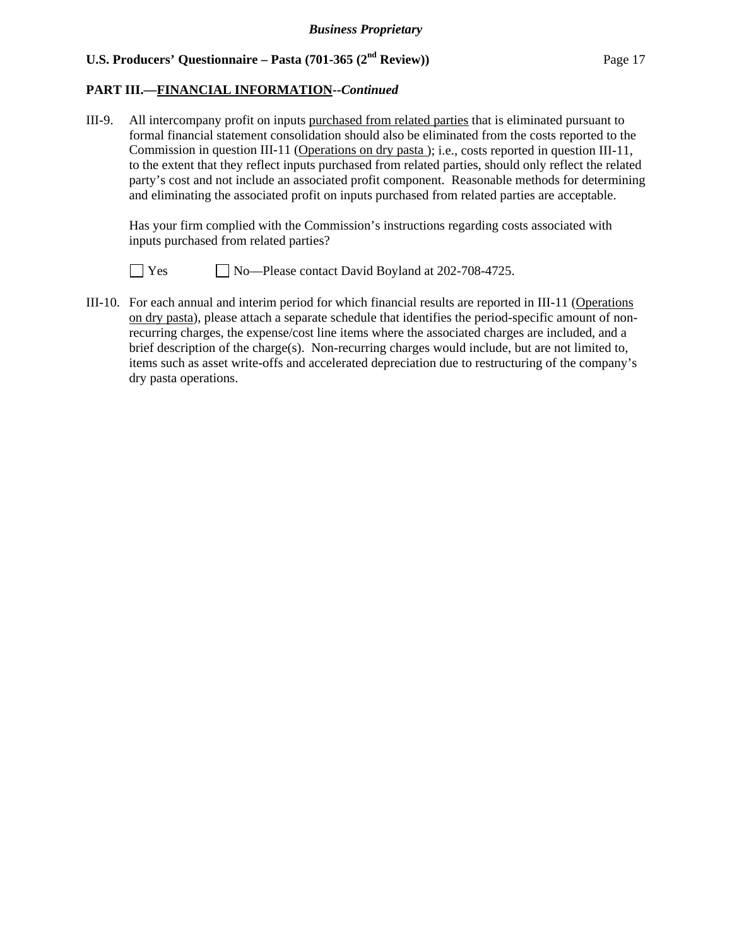## **PART III.—FINANCIAL INFORMATION--***Continued*

III-9. All intercompany profit on inputs purchased from related parties that is eliminated pursuant to formal financial statement consolidation should also be eliminated from the costs reported to the Commission in question III-11 (Operations on dry pasta ); i.e., costs reported in question III-11, to the extent that they reflect inputs purchased from related parties, should only reflect the related party's cost and not include an associated profit component. Reasonable methods for determining and eliminating the associated profit on inputs purchased from related parties are acceptable.

 Has your firm complied with the Commission's instructions regarding costs associated with inputs purchased from related parties?

 $\Box$  Yes  $\Box$  No—Please contact David Boyland at 202-708-4725.

III-10. For each annual and interim period for which financial results are reported in III-11 (Operations on dry pasta), please attach a separate schedule that identifies the period-specific amount of nonrecurring charges, the expense/cost line items where the associated charges are included, and a brief description of the charge(s). Non-recurring charges would include, but are not limited to, items such as asset write-offs and accelerated depreciation due to restructuring of the company's dry pasta operations.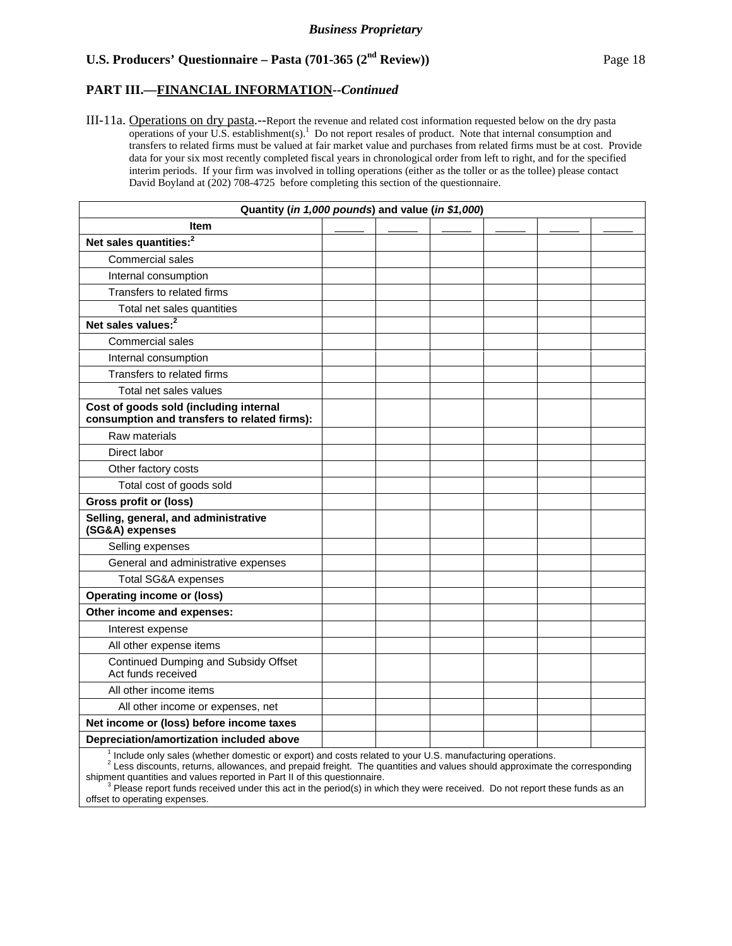### **PART III.—FINANCIAL INFORMATION--***Continued*

III-11a. Operations on dry pasta.--Report the revenue and related cost information requested below on the dry pasta operations of your U.S. establishment $(s)$ .<sup>1</sup> Do not report resales of product. Note that internal consumption and transfers to related firms must be valued at fair market value and purchases from related firms must be at cost. Provide data for your six most recently completed fiscal years in chronological order from left to right, and for the specified interim periods. If your firm was involved in tolling operations (either as the toller or as the tollee) please contact David Boyland at (202) 708-4725 before completing this section of the questionnaire.

| Quantity (in 1,000 pounds) and value (in \$1,000)                                      |  |  |  |
|----------------------------------------------------------------------------------------|--|--|--|
| Item                                                                                   |  |  |  |
| Net sales quantities: <sup>2</sup>                                                     |  |  |  |
| Commercial sales                                                                       |  |  |  |
| Internal consumption                                                                   |  |  |  |
| Transfers to related firms                                                             |  |  |  |
| Total net sales quantities                                                             |  |  |  |
| Net sales values: <sup>2</sup>                                                         |  |  |  |
| Commercial sales                                                                       |  |  |  |
| Internal consumption                                                                   |  |  |  |
| Transfers to related firms                                                             |  |  |  |
| Total net sales values                                                                 |  |  |  |
| Cost of goods sold (including internal<br>consumption and transfers to related firms): |  |  |  |
| Raw materials                                                                          |  |  |  |
| Direct labor                                                                           |  |  |  |
| Other factory costs                                                                    |  |  |  |
| Total cost of goods sold                                                               |  |  |  |
| Gross profit or (loss)                                                                 |  |  |  |
| Selling, general, and administrative<br>(SG&A) expenses                                |  |  |  |
| Selling expenses                                                                       |  |  |  |
| General and administrative expenses                                                    |  |  |  |
| <b>Total SG&amp;A expenses</b>                                                         |  |  |  |
| <b>Operating income or (loss)</b>                                                      |  |  |  |
| Other income and expenses:                                                             |  |  |  |
| Interest expense                                                                       |  |  |  |
| All other expense items                                                                |  |  |  |
| Continued Dumping and Subsidy Offset<br>Act funds received                             |  |  |  |
| All other income items                                                                 |  |  |  |
| All other income or expenses, net                                                      |  |  |  |
| Net income or (loss) before income taxes                                               |  |  |  |
| Depreciation/amortization included above                                               |  |  |  |

 $<sup>1</sup>$  Include only sales (whether domestic or export) and costs related to your U.S. manufacturing operations.</sup>

2 Less discounts, returns, allowances, and prepaid freight. The quantities and values should approximate the corresponding shipment quantities and values reported in Part II of this questionnaire.<br><sup>3</sup> Please report funds received under this act in the period(s) in which they were received. Do not report these funds as an

offset to operating expenses.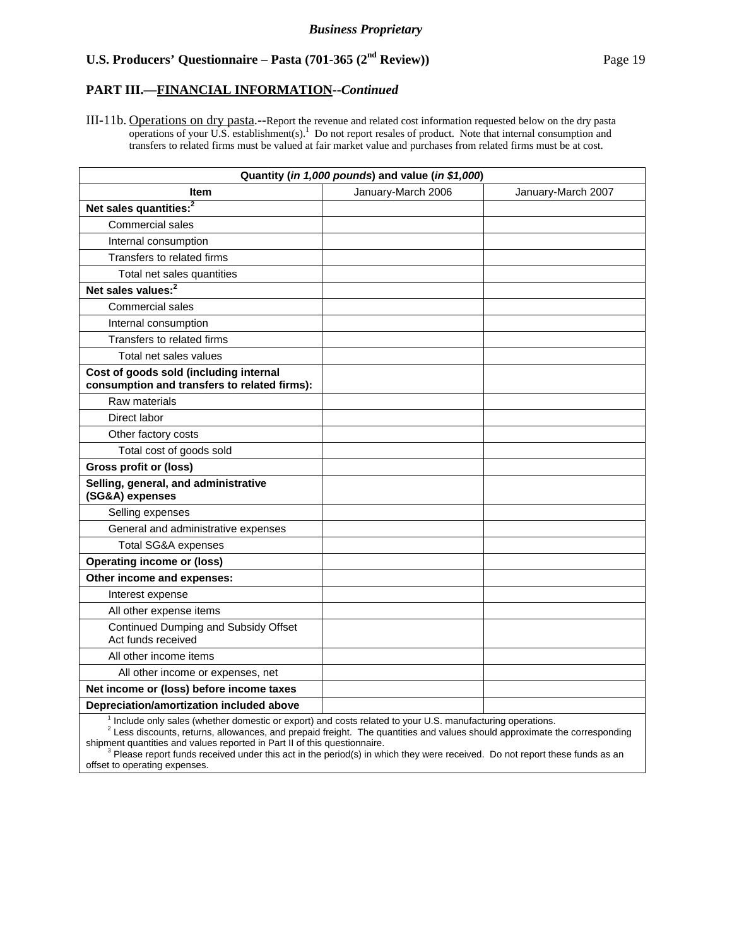### **PART III.—FINANCIAL INFORMATION--***Continued*

III-11b. Operations on dry pasta.--Report the revenue and related cost information requested below on the dry pasta operations of your U.S. establishment $(s)$ .<sup>1</sup> Do not report resales of product. Note that internal consumption and transfers to related firms must be valued at fair market value and purchases from related firms must be at cost.

| Quantity (in 1,000 pounds) and value (in \$1,000)                                      |                    |                    |  |  |  |  |
|----------------------------------------------------------------------------------------|--------------------|--------------------|--|--|--|--|
| <b>Item</b>                                                                            | January-March 2006 | January-March 2007 |  |  |  |  |
| Net sales quantities: <sup>2</sup>                                                     |                    |                    |  |  |  |  |
| Commercial sales                                                                       |                    |                    |  |  |  |  |
| Internal consumption                                                                   |                    |                    |  |  |  |  |
| Transfers to related firms                                                             |                    |                    |  |  |  |  |
| Total net sales quantities                                                             |                    |                    |  |  |  |  |
| Net sales values: <sup>2</sup>                                                         |                    |                    |  |  |  |  |
| Commercial sales                                                                       |                    |                    |  |  |  |  |
| Internal consumption                                                                   |                    |                    |  |  |  |  |
| Transfers to related firms                                                             |                    |                    |  |  |  |  |
| Total net sales values                                                                 |                    |                    |  |  |  |  |
| Cost of goods sold (including internal<br>consumption and transfers to related firms): |                    |                    |  |  |  |  |
| Raw materials                                                                          |                    |                    |  |  |  |  |
| Direct labor                                                                           |                    |                    |  |  |  |  |
| Other factory costs                                                                    |                    |                    |  |  |  |  |
| Total cost of goods sold                                                               |                    |                    |  |  |  |  |
| <b>Gross profit or (loss)</b>                                                          |                    |                    |  |  |  |  |
| Selling, general, and administrative<br>(SG&A) expenses                                |                    |                    |  |  |  |  |
| Selling expenses                                                                       |                    |                    |  |  |  |  |
| General and administrative expenses                                                    |                    |                    |  |  |  |  |
| <b>Total SG&amp;A expenses</b>                                                         |                    |                    |  |  |  |  |
| <b>Operating income or (loss)</b>                                                      |                    |                    |  |  |  |  |
| Other income and expenses:                                                             |                    |                    |  |  |  |  |
| Interest expense                                                                       |                    |                    |  |  |  |  |
| All other expense items                                                                |                    |                    |  |  |  |  |
| Continued Dumping and Subsidy Offset<br>Act funds received                             |                    |                    |  |  |  |  |
| All other income items                                                                 |                    |                    |  |  |  |  |
| All other income or expenses, net                                                      |                    |                    |  |  |  |  |
| Net income or (loss) before income taxes                                               |                    |                    |  |  |  |  |
| Depreciation/amortization included above                                               |                    |                    |  |  |  |  |

<sup>1</sup> Include only sales (whether domestic or export) and costs related to your U.S. manufacturing operations.<br><sup>2</sup> Less discounts, returns, allowances, and prepaid freight. The quantities and values should approximate the co shipment quantities and values reported in Part II of this questionnaire.

 $3$  Please report funds received under this act in the period(s) in which they were received. Do not report these funds as an offset to operating expenses.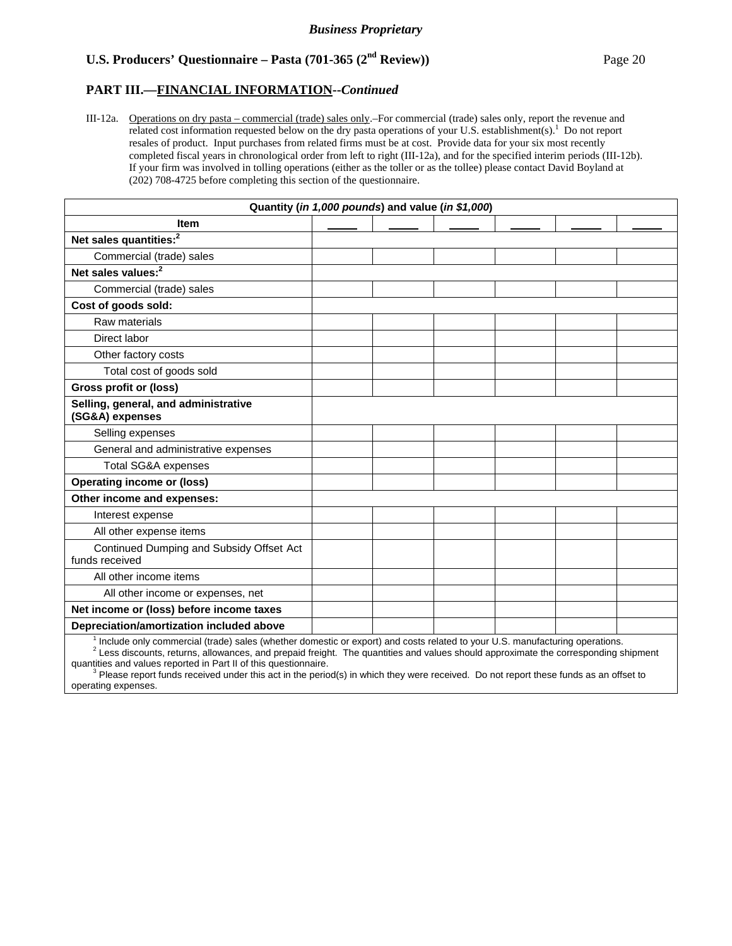### **PART III.—FINANCIAL INFORMATION--***Continued*

III-12a. Operations on dry pasta – commercial (trade) sales only.–For commercial (trade) sales only, report the revenue and related cost information requested below on the dry pasta operations of your U.S. establishment(s).<sup>1</sup> Do not report resales of product. Input purchases from related firms must be at cost. Provide data for your six most recently completed fiscal years in chronological order from left to right (III-12a), and for the specified interim periods (III-12b). If your firm was involved in tolling operations (either as the toller or as the tollee) please contact David Boyland at (202) 708-4725 before completing this section of the questionnaire.

| Quantity (in 1,000 pounds) and value (in \$1,000)                                                                                        |  |  |  |  |  |  |
|------------------------------------------------------------------------------------------------------------------------------------------|--|--|--|--|--|--|
| <b>Item</b>                                                                                                                              |  |  |  |  |  |  |
| Net sales quantities: <sup>2</sup>                                                                                                       |  |  |  |  |  |  |
| Commercial (trade) sales                                                                                                                 |  |  |  |  |  |  |
| Net sales values: <sup>2</sup>                                                                                                           |  |  |  |  |  |  |
| Commercial (trade) sales                                                                                                                 |  |  |  |  |  |  |
| Cost of goods sold:                                                                                                                      |  |  |  |  |  |  |
| Raw materials                                                                                                                            |  |  |  |  |  |  |
| Direct labor                                                                                                                             |  |  |  |  |  |  |
| Other factory costs                                                                                                                      |  |  |  |  |  |  |
| Total cost of goods sold                                                                                                                 |  |  |  |  |  |  |
| <b>Gross profit or (loss)</b>                                                                                                            |  |  |  |  |  |  |
| Selling, general, and administrative<br>(SG&A) expenses                                                                                  |  |  |  |  |  |  |
| Selling expenses                                                                                                                         |  |  |  |  |  |  |
| General and administrative expenses                                                                                                      |  |  |  |  |  |  |
| Total SG&A expenses                                                                                                                      |  |  |  |  |  |  |
| <b>Operating income or (loss)</b>                                                                                                        |  |  |  |  |  |  |
| Other income and expenses:                                                                                                               |  |  |  |  |  |  |
| Interest expense                                                                                                                         |  |  |  |  |  |  |
| All other expense items                                                                                                                  |  |  |  |  |  |  |
| Continued Dumping and Subsidy Offset Act<br>funds received                                                                               |  |  |  |  |  |  |
| All other income items                                                                                                                   |  |  |  |  |  |  |
| All other income or expenses, net                                                                                                        |  |  |  |  |  |  |
| Net income or (loss) before income taxes                                                                                                 |  |  |  |  |  |  |
| Depreciation/amortization included above                                                                                                 |  |  |  |  |  |  |
| <sup>1</sup> Include only commercial (trade) sales (whether domestic or export) and costs related to your U.S. manufacturing operations. |  |  |  |  |  |  |

 $2$  Less discounts, returns, allowances, and prepaid freight. The quantities and values should approximate the corresponding shipment

quantities and values reported in Part II of this questionnaire.<br><sup>3</sup> Please report funds received under this act in the period(s) in which they were received. Do not report these funds as an offset to operating expenses.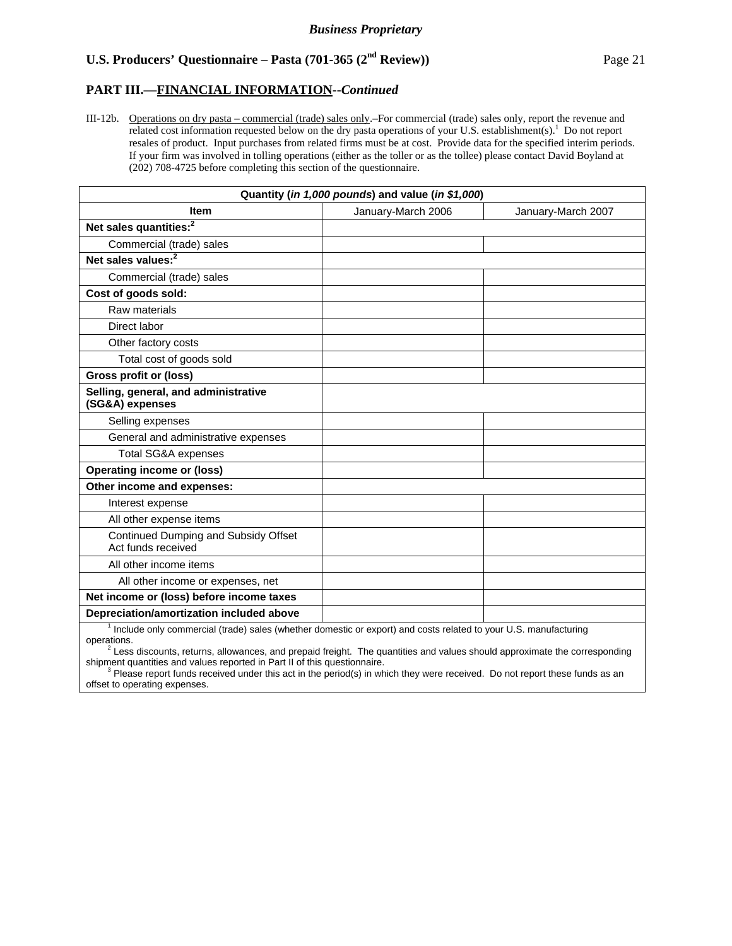### **PART III.—FINANCIAL INFORMATION--***Continued*

III-12b. Operations on dry pasta – commercial (trade) sales only.–For commercial (trade) sales only, report the revenue and related cost information requested below on the dry pasta operations of your U.S. establishment(s).<sup>1</sup> Do not report resales of product. Input purchases from related firms must be at cost. Provide data for the specified interim periods. If your firm was involved in tolling operations (either as the toller or as the tollee) please contact David Boyland at (202) 708-4725 before completing this section of the questionnaire.

| Quantity (in 1,000 pounds) and value (in \$1,000)                                                               |                    |                    |  |  |  |
|-----------------------------------------------------------------------------------------------------------------|--------------------|--------------------|--|--|--|
| <b>Item</b>                                                                                                     | January-March 2006 | January-March 2007 |  |  |  |
| Net sales quantities: <sup>2</sup>                                                                              |                    |                    |  |  |  |
| Commercial (trade) sales                                                                                        |                    |                    |  |  |  |
| Net sales values: <sup>2</sup>                                                                                  |                    |                    |  |  |  |
| Commercial (trade) sales                                                                                        |                    |                    |  |  |  |
| Cost of goods sold:                                                                                             |                    |                    |  |  |  |
| Raw materials                                                                                                   |                    |                    |  |  |  |
| Direct labor                                                                                                    |                    |                    |  |  |  |
| Other factory costs                                                                                             |                    |                    |  |  |  |
| Total cost of goods sold                                                                                        |                    |                    |  |  |  |
| <b>Gross profit or (loss)</b>                                                                                   |                    |                    |  |  |  |
| Selling, general, and administrative<br>(SG&A) expenses                                                         |                    |                    |  |  |  |
| Selling expenses                                                                                                |                    |                    |  |  |  |
| General and administrative expenses                                                                             |                    |                    |  |  |  |
| <b>Total SG&amp;A expenses</b>                                                                                  |                    |                    |  |  |  |
| <b>Operating income or (loss)</b>                                                                               |                    |                    |  |  |  |
| Other income and expenses:                                                                                      |                    |                    |  |  |  |
| Interest expense                                                                                                |                    |                    |  |  |  |
| All other expense items                                                                                         |                    |                    |  |  |  |
| Continued Dumping and Subsidy Offset<br>Act funds received                                                      |                    |                    |  |  |  |
| All other income items                                                                                          |                    |                    |  |  |  |
| All other income or expenses, net                                                                               |                    |                    |  |  |  |
| Net income or (loss) before income taxes                                                                        |                    |                    |  |  |  |
| Depreciation/amortization included above                                                                        |                    |                    |  |  |  |
| Include only commercial (trade) sales (whether domestic or export) and costs related to your U.S. manufacturing |                    |                    |  |  |  |

operations.

2 Less discounts, returns, allowances, and prepaid freight. The quantities and values should approximate the corresponding

shipment quantities and values reported in Part II of this questionnaire.<br><sup>3</sup> Please report funds received under this act in the period(s) in which they were received. Do not report these funds as an offset to operating expenses.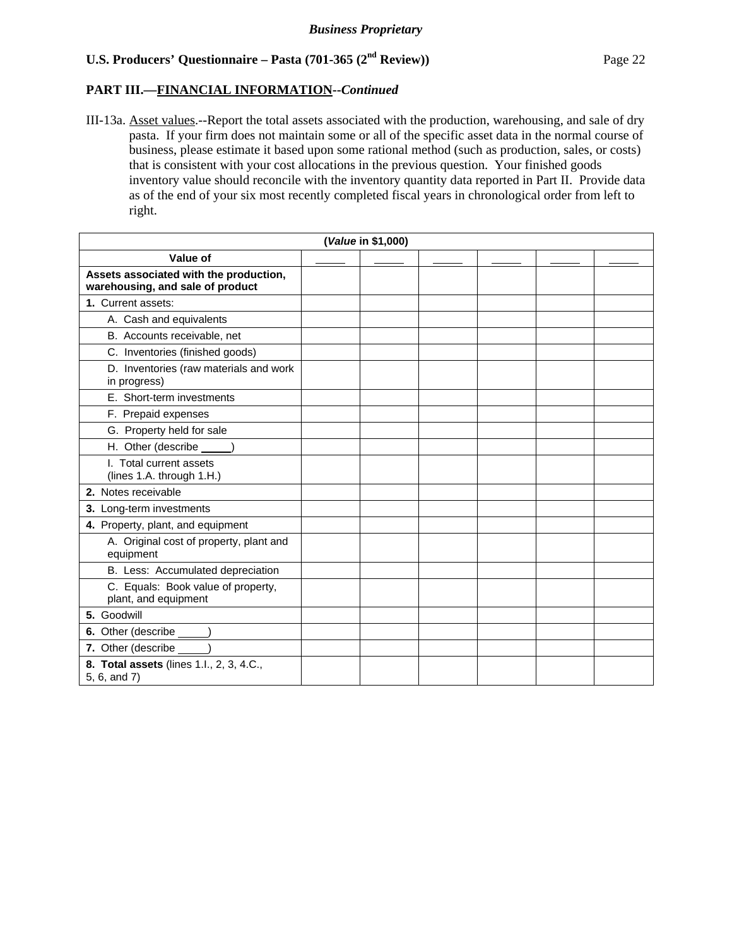### **PART III.—FINANCIAL INFORMATION--***Continued*

III-13a. Asset values.--Report the total assets associated with the production, warehousing, and sale of dry pasta. If your firm does not maintain some or all of the specific asset data in the normal course of business, please estimate it based upon some rational method (such as production, sales, or costs) that is consistent with your cost allocations in the previous question. Your finished goods inventory value should reconcile with the inventory quantity data reported in Part II. Provide data as of the end of your six most recently completed fiscal years in chronological order from left to right.

| (Value in \$1,000)                                                         |  |  |  |  |  |  |
|----------------------------------------------------------------------------|--|--|--|--|--|--|
| Value of                                                                   |  |  |  |  |  |  |
| Assets associated with the production,<br>warehousing, and sale of product |  |  |  |  |  |  |
| 1. Current assets:                                                         |  |  |  |  |  |  |
| A. Cash and equivalents                                                    |  |  |  |  |  |  |
| B. Accounts receivable, net                                                |  |  |  |  |  |  |
| C. Inventories (finished goods)                                            |  |  |  |  |  |  |
| D. Inventories (raw materials and work<br>in progress)                     |  |  |  |  |  |  |
| E. Short-term investments                                                  |  |  |  |  |  |  |
| F. Prepaid expenses                                                        |  |  |  |  |  |  |
| G. Property held for sale                                                  |  |  |  |  |  |  |
| H. Other (describe                                                         |  |  |  |  |  |  |
| I. Total current assets<br>(lines 1.A. through 1.H.)                       |  |  |  |  |  |  |
| 2. Notes receivable                                                        |  |  |  |  |  |  |
| 3. Long-term investments                                                   |  |  |  |  |  |  |
| 4. Property, plant, and equipment                                          |  |  |  |  |  |  |
| A. Original cost of property, plant and<br>equipment                       |  |  |  |  |  |  |
| B. Less: Accumulated depreciation                                          |  |  |  |  |  |  |
| C. Equals: Book value of property,<br>plant, and equipment                 |  |  |  |  |  |  |
| 5. Goodwill                                                                |  |  |  |  |  |  |
| 6. Other (describe _____)                                                  |  |  |  |  |  |  |
| 7. Other (describe _____)                                                  |  |  |  |  |  |  |
| 8. Total assets (lines 1.l., 2, 3, 4.C.,<br>5, 6, and 7)                   |  |  |  |  |  |  |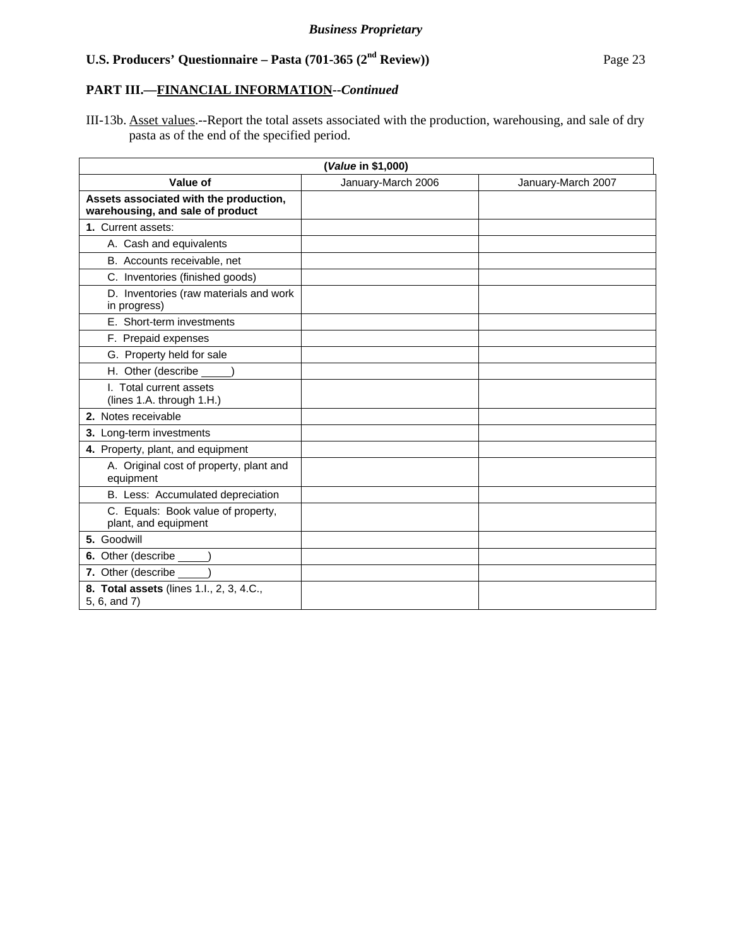# **PART III.—FINANCIAL INFORMATION--***Continued*

III-13b. Asset values.--Report the total assets associated with the production, warehousing, and sale of dry pasta as of the end of the specified period.

| (Value in \$1,000)                                                         |                    |                    |  |
|----------------------------------------------------------------------------|--------------------|--------------------|--|
| Value of                                                                   | January-March 2006 | January-March 2007 |  |
| Assets associated with the production,<br>warehousing, and sale of product |                    |                    |  |
| 1. Current assets:                                                         |                    |                    |  |
| A. Cash and equivalents                                                    |                    |                    |  |
| B. Accounts receivable, net                                                |                    |                    |  |
| C. Inventories (finished goods)                                            |                    |                    |  |
| D. Inventories (raw materials and work<br>in progress)                     |                    |                    |  |
| E. Short-term investments                                                  |                    |                    |  |
| F. Prepaid expenses                                                        |                    |                    |  |
| G. Property held for sale                                                  |                    |                    |  |
| H. Other (describe _____)                                                  |                    |                    |  |
| I. Total current assets<br>(lines 1.A. through 1.H.)                       |                    |                    |  |
| 2. Notes receivable                                                        |                    |                    |  |
| 3. Long-term investments                                                   |                    |                    |  |
| 4. Property, plant, and equipment                                          |                    |                    |  |
| A. Original cost of property, plant and<br>equipment                       |                    |                    |  |
| B. Less: Accumulated depreciation                                          |                    |                    |  |
| C. Equals: Book value of property,<br>plant, and equipment                 |                    |                    |  |
| 5. Goodwill                                                                |                    |                    |  |
| 6. Other (describe _____)                                                  |                    |                    |  |
| 7. Other (describe ______)                                                 |                    |                    |  |
| 8. Total assets (lines 1.l., 2, 3, 4.C.,<br>5, 6, and 7)                   |                    |                    |  |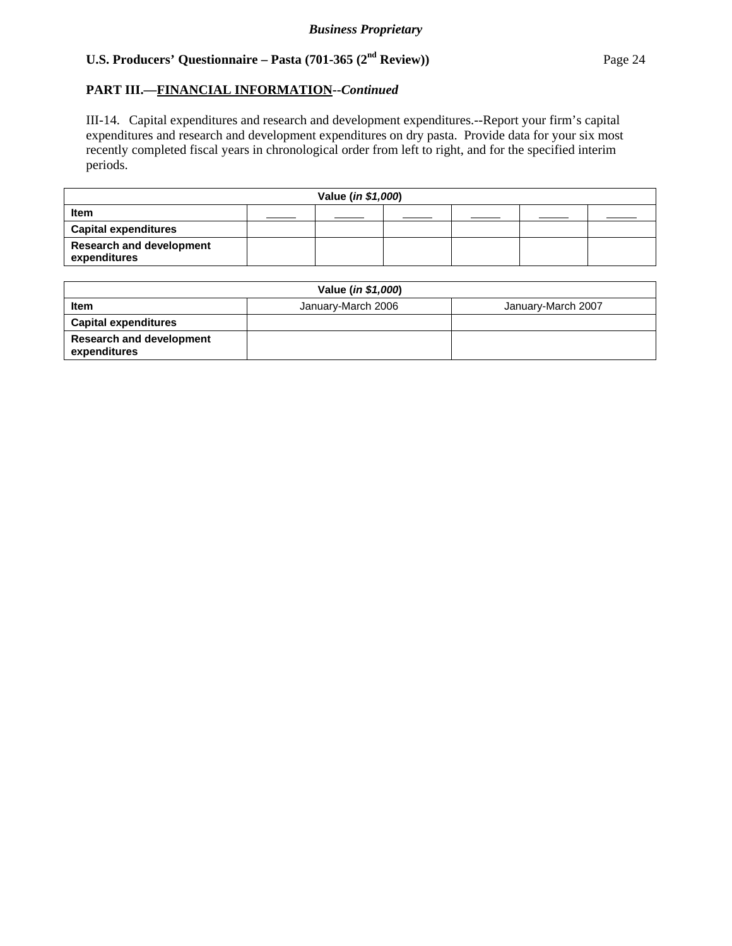## **PART III.—FINANCIAL INFORMATION--***Continued*

III-14. Capital expenditures and research and development expenditures.--Report your firm's capital expenditures and research and development expenditures on dry pasta. Provide data for your six most recently completed fiscal years in chronological order from left to right, and for the specified interim periods.

| Value (in \$1,000)                              |  |  |  |  |  |
|-------------------------------------------------|--|--|--|--|--|
| Item                                            |  |  |  |  |  |
| <b>Capital expenditures</b>                     |  |  |  |  |  |
| <b>Research and development</b><br>expenditures |  |  |  |  |  |

| Value ( <i>in \$1,000</i> )                     |                    |                    |  |  |
|-------------------------------------------------|--------------------|--------------------|--|--|
| Item                                            | January-March 2006 | January-March 2007 |  |  |
| <b>Capital expenditures</b>                     |                    |                    |  |  |
| <b>Research and development</b><br>expenditures |                    |                    |  |  |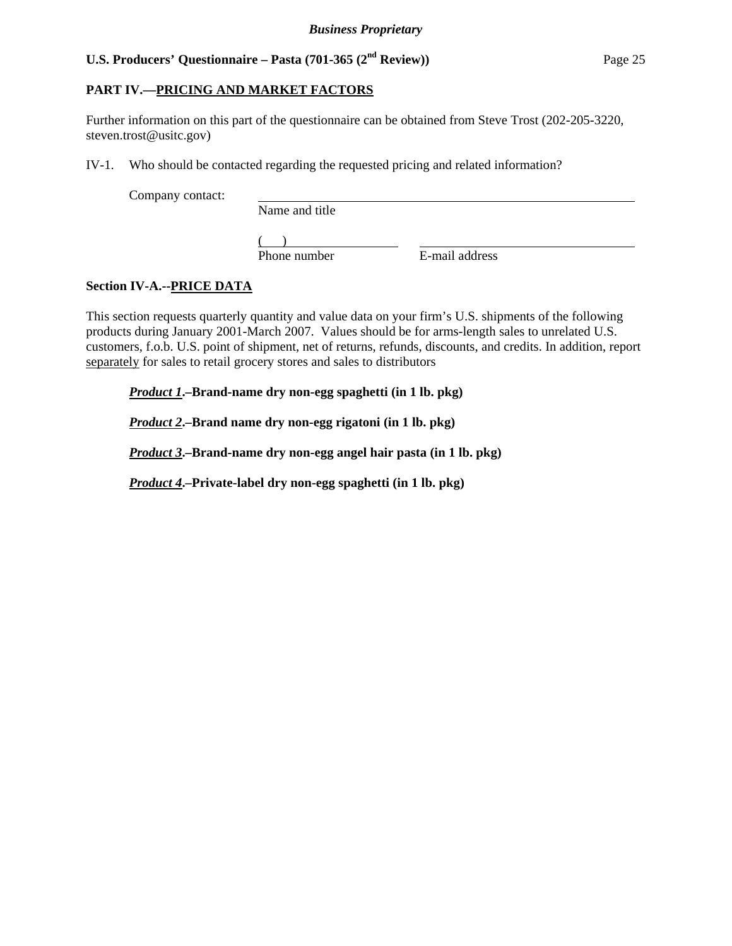## **PART IV.—PRICING AND MARKET FACTORS**

Further information on this part of the questionnaire can be obtained from Steve Trost (202-205-3220, steven.trost@usitc.gov)

IV-1. Who should be contacted regarding the requested pricing and related information?

Company contact:

Name and title

 $($ 

Phone number E-mail address

# **Section IV-A.--PRICE DATA**

This section requests quarterly quantity and value data on your firm's U.S. shipments of the following products during January 2001-March 2007. Values should be for arms-length sales to unrelated U.S. customers, f.o.b. U.S. point of shipment, net of returns, refunds, discounts, and credits. In addition, report separately for sales to retail grocery stores and sales to distributors

*Product 1***.–Brand-name dry non-egg spaghetti (in 1 lb. pkg)**

*Product 2***.–Brand name dry non-egg rigatoni (in 1 lb. pkg)**

*Product 3***.–Brand-name dry non-egg angel hair pasta (in 1 lb. pkg)**

*Product 4***.–Private-label dry non-egg spaghetti (in 1 lb. pkg)**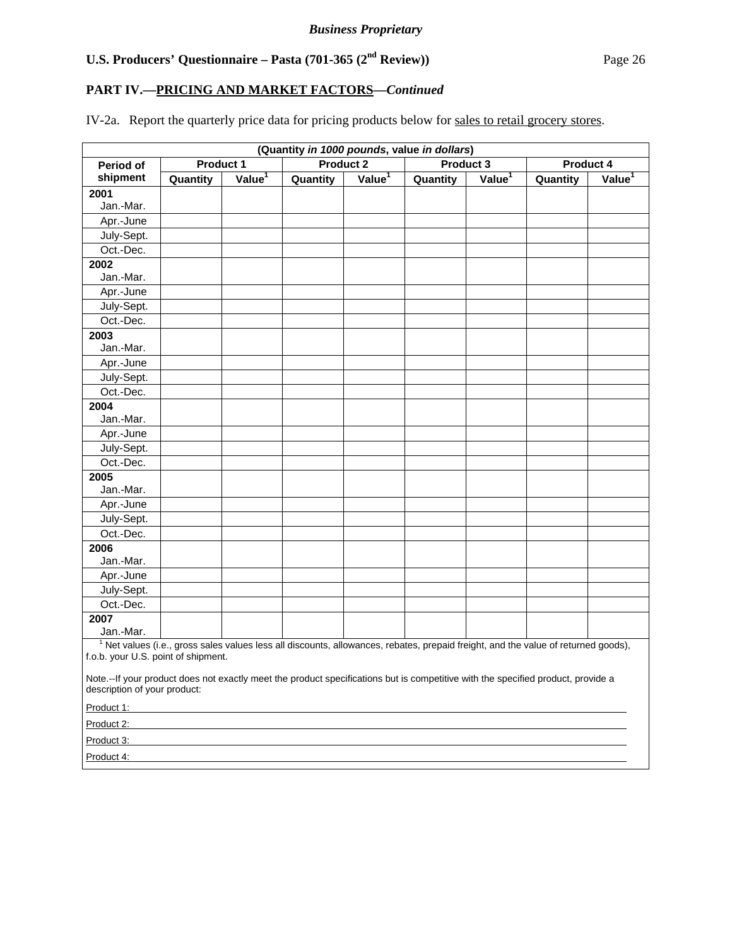# **PART IV.—PRICING AND MARKET FACTORS***—Continued*

IV-2a. Report the quarterly price data for pricing products below for sales to retail grocery stores.

|                                                                                                                                                                  |                                                         |                    |          |                    | (Quantity in 1000 pounds, value in dollars) |                    |                                                                                                                                               |                       |
|------------------------------------------------------------------------------------------------------------------------------------------------------------------|---------------------------------------------------------|--------------------|----------|--------------------|---------------------------------------------|--------------------|-----------------------------------------------------------------------------------------------------------------------------------------------|-----------------------|
| Period of                                                                                                                                                        | <b>Product 2</b><br>Product 1<br>Product 3<br>Product 4 |                    |          |                    |                                             |                    |                                                                                                                                               |                       |
| shipment                                                                                                                                                         | Quantity                                                | Value <sup>1</sup> | Quantity | Value <sup>1</sup> | Quantity                                    | Value <sup>1</sup> | Quantity                                                                                                                                      | $V$ alue <sup>1</sup> |
| 2001                                                                                                                                                             |                                                         |                    |          |                    |                                             |                    |                                                                                                                                               |                       |
| Jan.-Mar.                                                                                                                                                        |                                                         |                    |          |                    |                                             |                    |                                                                                                                                               |                       |
| Apr.-June                                                                                                                                                        |                                                         |                    |          |                    |                                             |                    |                                                                                                                                               |                       |
| July-Sept.                                                                                                                                                       |                                                         |                    |          |                    |                                             |                    |                                                                                                                                               |                       |
| Oct.-Dec.                                                                                                                                                        |                                                         |                    |          |                    |                                             |                    |                                                                                                                                               |                       |
| 2002                                                                                                                                                             |                                                         |                    |          |                    |                                             |                    |                                                                                                                                               |                       |
| Jan.-Mar.                                                                                                                                                        |                                                         |                    |          |                    |                                             |                    |                                                                                                                                               |                       |
| Apr.-June                                                                                                                                                        |                                                         |                    |          |                    |                                             |                    |                                                                                                                                               |                       |
| July-Sept.                                                                                                                                                       |                                                         |                    |          |                    |                                             |                    |                                                                                                                                               |                       |
| Oct.-Dec.                                                                                                                                                        |                                                         |                    |          |                    |                                             |                    |                                                                                                                                               |                       |
| 2003<br>Jan.-Mar.                                                                                                                                                |                                                         |                    |          |                    |                                             |                    |                                                                                                                                               |                       |
| Apr.-June                                                                                                                                                        |                                                         |                    |          |                    |                                             |                    |                                                                                                                                               |                       |
| July-Sept.                                                                                                                                                       |                                                         |                    |          |                    |                                             |                    |                                                                                                                                               |                       |
| Oct.-Dec.                                                                                                                                                        |                                                         |                    |          |                    |                                             |                    |                                                                                                                                               |                       |
| 2004                                                                                                                                                             |                                                         |                    |          |                    |                                             |                    |                                                                                                                                               |                       |
| Jan.-Mar.                                                                                                                                                        |                                                         |                    |          |                    |                                             |                    |                                                                                                                                               |                       |
| Apr.-June                                                                                                                                                        |                                                         |                    |          |                    |                                             |                    |                                                                                                                                               |                       |
| July-Sept.                                                                                                                                                       |                                                         |                    |          |                    |                                             |                    |                                                                                                                                               |                       |
| Oct.-Dec.                                                                                                                                                        |                                                         |                    |          |                    |                                             |                    |                                                                                                                                               |                       |
| 2005                                                                                                                                                             |                                                         |                    |          |                    |                                             |                    |                                                                                                                                               |                       |
| Jan.-Mar.                                                                                                                                                        |                                                         |                    |          |                    |                                             |                    |                                                                                                                                               |                       |
| Apr.-June                                                                                                                                                        |                                                         |                    |          |                    |                                             |                    |                                                                                                                                               |                       |
| July-Sept.                                                                                                                                                       |                                                         |                    |          |                    |                                             |                    |                                                                                                                                               |                       |
| Oct.-Dec.                                                                                                                                                        |                                                         |                    |          |                    |                                             |                    |                                                                                                                                               |                       |
| 2006                                                                                                                                                             |                                                         |                    |          |                    |                                             |                    |                                                                                                                                               |                       |
| Jan.-Mar.                                                                                                                                                        |                                                         |                    |          |                    |                                             |                    |                                                                                                                                               |                       |
| Apr.-June                                                                                                                                                        |                                                         |                    |          |                    |                                             |                    |                                                                                                                                               |                       |
| July-Sept.                                                                                                                                                       |                                                         |                    |          |                    |                                             |                    |                                                                                                                                               |                       |
| Oct.-Dec.                                                                                                                                                        |                                                         |                    |          |                    |                                             |                    |                                                                                                                                               |                       |
| 2007<br>Jan.-Mar.                                                                                                                                                |                                                         |                    |          |                    |                                             |                    |                                                                                                                                               |                       |
|                                                                                                                                                                  |                                                         |                    |          |                    |                                             |                    | <sup>1</sup> Net values (i.e., gross sales values less all discounts, allowances, rebates, prepaid freight, and the value of returned goods), |                       |
| f.o.b. your U.S. point of shipment.                                                                                                                              |                                                         |                    |          |                    |                                             |                    |                                                                                                                                               |                       |
| Note.--If your product does not exactly meet the product specifications but is competitive with the specified product, provide a<br>description of your product: |                                                         |                    |          |                    |                                             |                    |                                                                                                                                               |                       |
| Product 1:                                                                                                                                                       |                                                         |                    |          |                    |                                             |                    |                                                                                                                                               |                       |
| Product 2:                                                                                                                                                       |                                                         |                    |          |                    |                                             |                    |                                                                                                                                               |                       |
| Product 3:                                                                                                                                                       |                                                         |                    |          |                    |                                             |                    |                                                                                                                                               |                       |
| Product 4:                                                                                                                                                       |                                                         |                    |          |                    |                                             |                    |                                                                                                                                               |                       |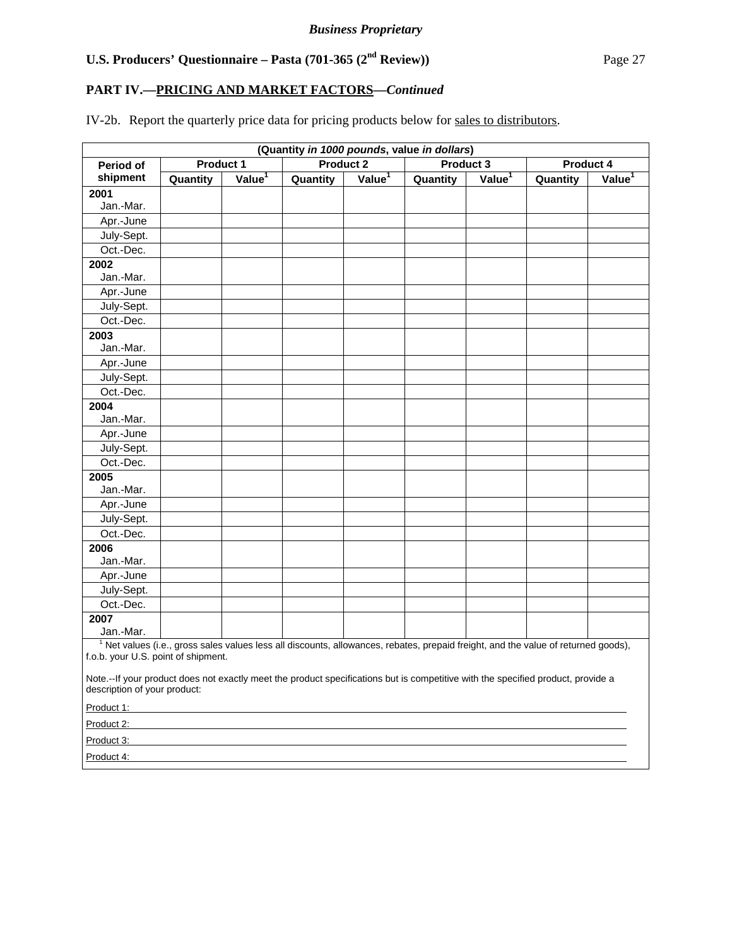# **PART IV.—PRICING AND MARKET FACTORS***—Continued*

IV-2b. Report the quarterly price data for pricing products below for sales to distributors.

| (Quantity in 1000 pounds, value in dollars)                                                                                                                      |                                                                |                    |                                                                                                                                               |                       |          |                    |          |                    |
|------------------------------------------------------------------------------------------------------------------------------------------------------------------|----------------------------------------------------------------|--------------------|-----------------------------------------------------------------------------------------------------------------------------------------------|-----------------------|----------|--------------------|----------|--------------------|
| Period of                                                                                                                                                        | <b>Product 1</b><br><b>Product 2</b><br>Product 3<br>Product 4 |                    |                                                                                                                                               |                       |          |                    |          |                    |
| shipment                                                                                                                                                         | Quantity                                                       | Value <sup>1</sup> | Quantity                                                                                                                                      | $V$ alue <sup>1</sup> | Quantity | Value <sup>1</sup> | Quantity | Value <sup>1</sup> |
| 2001                                                                                                                                                             |                                                                |                    |                                                                                                                                               |                       |          |                    |          |                    |
| Jan.-Mar.                                                                                                                                                        |                                                                |                    |                                                                                                                                               |                       |          |                    |          |                    |
| Apr.-June                                                                                                                                                        |                                                                |                    |                                                                                                                                               |                       |          |                    |          |                    |
| July-Sept.                                                                                                                                                       |                                                                |                    |                                                                                                                                               |                       |          |                    |          |                    |
| Oct.-Dec.                                                                                                                                                        |                                                                |                    |                                                                                                                                               |                       |          |                    |          |                    |
| 2002                                                                                                                                                             |                                                                |                    |                                                                                                                                               |                       |          |                    |          |                    |
| Jan.-Mar.                                                                                                                                                        |                                                                |                    |                                                                                                                                               |                       |          |                    |          |                    |
| Apr.-June                                                                                                                                                        |                                                                |                    |                                                                                                                                               |                       |          |                    |          |                    |
| July-Sept.                                                                                                                                                       |                                                                |                    |                                                                                                                                               |                       |          |                    |          |                    |
| Oct.-Dec.                                                                                                                                                        |                                                                |                    |                                                                                                                                               |                       |          |                    |          |                    |
| 2003<br>Jan.-Mar.                                                                                                                                                |                                                                |                    |                                                                                                                                               |                       |          |                    |          |                    |
| Apr.-June                                                                                                                                                        |                                                                |                    |                                                                                                                                               |                       |          |                    |          |                    |
| July-Sept.                                                                                                                                                       |                                                                |                    |                                                                                                                                               |                       |          |                    |          |                    |
| Oct.-Dec.                                                                                                                                                        |                                                                |                    |                                                                                                                                               |                       |          |                    |          |                    |
| 2004                                                                                                                                                             |                                                                |                    |                                                                                                                                               |                       |          |                    |          |                    |
| Jan.-Mar.                                                                                                                                                        |                                                                |                    |                                                                                                                                               |                       |          |                    |          |                    |
| Apr.-June                                                                                                                                                        |                                                                |                    |                                                                                                                                               |                       |          |                    |          |                    |
| July-Sept.                                                                                                                                                       |                                                                |                    |                                                                                                                                               |                       |          |                    |          |                    |
| Oct.-Dec.                                                                                                                                                        |                                                                |                    |                                                                                                                                               |                       |          |                    |          |                    |
| 2005                                                                                                                                                             |                                                                |                    |                                                                                                                                               |                       |          |                    |          |                    |
| Jan.-Mar.                                                                                                                                                        |                                                                |                    |                                                                                                                                               |                       |          |                    |          |                    |
| Apr.-June                                                                                                                                                        |                                                                |                    |                                                                                                                                               |                       |          |                    |          |                    |
| July-Sept.                                                                                                                                                       |                                                                |                    |                                                                                                                                               |                       |          |                    |          |                    |
| Oct.-Dec.                                                                                                                                                        |                                                                |                    |                                                                                                                                               |                       |          |                    |          |                    |
| 2006<br>Jan.-Mar.                                                                                                                                                |                                                                |                    |                                                                                                                                               |                       |          |                    |          |                    |
| Apr.-June                                                                                                                                                        |                                                                |                    |                                                                                                                                               |                       |          |                    |          |                    |
| July-Sept.                                                                                                                                                       |                                                                |                    |                                                                                                                                               |                       |          |                    |          |                    |
| Oct.-Dec.                                                                                                                                                        |                                                                |                    |                                                                                                                                               |                       |          |                    |          |                    |
| 2007                                                                                                                                                             |                                                                |                    |                                                                                                                                               |                       |          |                    |          |                    |
| Jan.-Mar.                                                                                                                                                        |                                                                |                    |                                                                                                                                               |                       |          |                    |          |                    |
| f.o.b. your U.S. point of shipment.                                                                                                                              |                                                                |                    | <sup>1</sup> Net values (i.e., gross sales values less all discounts, allowances, rebates, prepaid freight, and the value of returned goods), |                       |          |                    |          |                    |
| Note.--If your product does not exactly meet the product specifications but is competitive with the specified product, provide a<br>description of your product: |                                                                |                    |                                                                                                                                               |                       |          |                    |          |                    |
| Product 1:                                                                                                                                                       |                                                                |                    |                                                                                                                                               |                       |          |                    |          |                    |
| Product 2:                                                                                                                                                       |                                                                |                    |                                                                                                                                               |                       |          |                    |          |                    |
| Product 3:                                                                                                                                                       |                                                                |                    |                                                                                                                                               |                       |          |                    |          |                    |
| Product 4:                                                                                                                                                       |                                                                |                    |                                                                                                                                               |                       |          |                    |          |                    |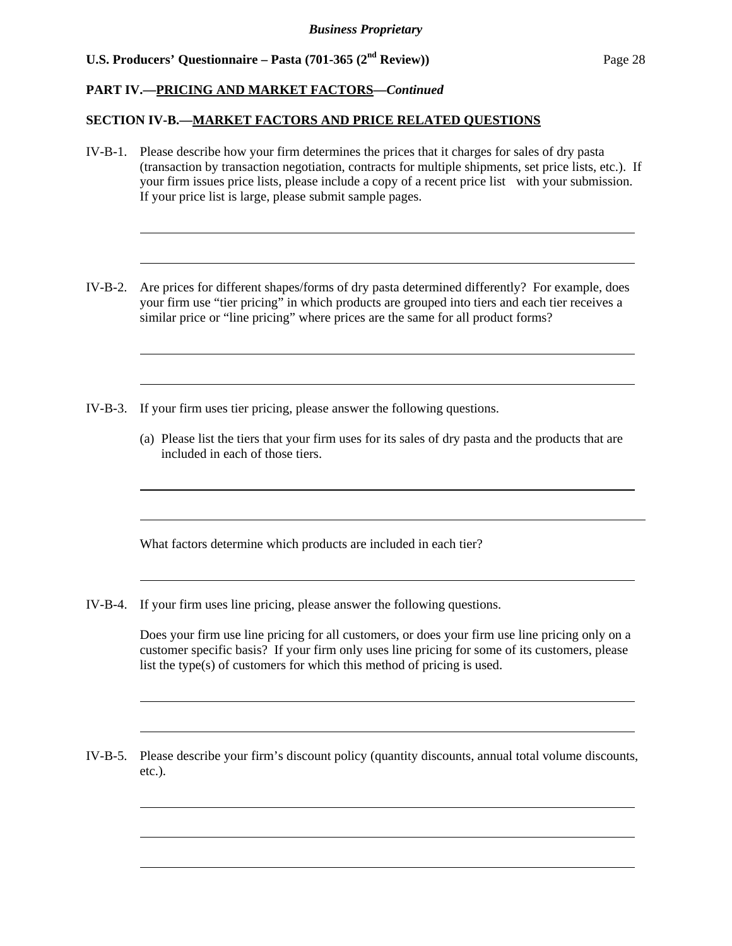l

l

l

l

l

 $\overline{a}$ 

l

l

l

### **PART IV.—PRICING AND MARKET FACTORS***—Continued*

### **SECTION IV-B.—MARKET FACTORS AND PRICE RELATED QUESTIONS**

- IV-B-1. Please describe how your firm determines the prices that it charges for sales of dry pasta (transaction by transaction negotiation, contracts for multiple shipments, set price lists, etc.). If your firm issues price lists, please include a copy of a recent price list with your submission. If your price list is large, please submit sample pages.
- IV-B-2. Are prices for different shapes/forms of dry pasta determined differently? For example, does your firm use "tier pricing" in which products are grouped into tiers and each tier receives a similar price or "line pricing" where prices are the same for all product forms?
- IV-B-3. If your firm uses tier pricing, please answer the following questions.
	- (a) Please list the tiers that your firm uses for its sales of dry pasta and the products that are included in each of those tiers.

What factors determine which products are included in each tier?

IV-B-4. If your firm uses line pricing, please answer the following questions.

Does your firm use line pricing for all customers, or does your firm use line pricing only on a customer specific basis? If your firm only uses line pricing for some of its customers, please list the type(s) of customers for which this method of pricing is used.

IV-B-5. Please describe your firm's discount policy (quantity discounts, annual total volume discounts, etc.).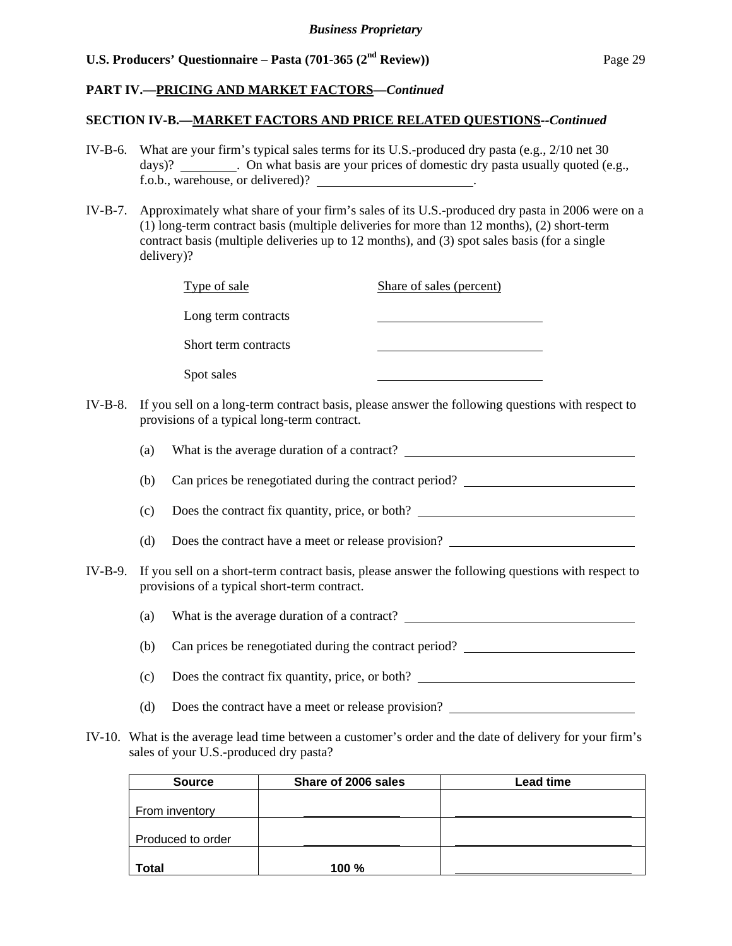### **PART IV.—PRICING AND MARKET FACTORS***—Continued*

### **SECTION IV-B.—MARKET FACTORS AND PRICE RELATED QUESTIONS***--Continued*

- IV-B-6. What are your firm's typical sales terms for its U.S.-produced dry pasta (e.g., 2/10 net 30 days)? . On what basis are your prices of domestic dry pasta usually quoted (e.g., f.o.b., warehouse, or delivered)? \_\_\_\_\_\_\_\_\_\_\_\_\_\_\_\_\_\_\_\_\_\_.
- IV-B-7. Approximately what share of your firm's sales of its U.S.-produced dry pasta in 2006 were on a (1) long-term contract basis (multiple deliveries for more than 12 months), (2) short-term contract basis (multiple deliveries up to 12 months), and (3) spot sales basis (for a single delivery)?

| Type of sale                                | Share of sales (percent)                                                                                 |
|---------------------------------------------|----------------------------------------------------------------------------------------------------------|
| Long term contracts                         |                                                                                                          |
| Short term contracts                        |                                                                                                          |
| Spot sales                                  |                                                                                                          |
| provisions of a typical long-term contract. | IV-B-8. If you sell on a long-term contract basis, please answer the following questions with respect to |

(a) What is the average duration of a contract?

- (b) Can prices be renegotiated during the contract period?
- (c) Does the contract fix quantity, price, or both?
- (d) Does the contract have a meet or release provision?
- IV-B-9. If you sell on a short-term contract basis, please answer the following questions with respect to provisions of a typical short-term contract.

(a) What is the average duration of a contract?

(b) Can prices be renegotiated during the contract period?

- (c) Does the contract fix quantity, price, or both?
- (d) Does the contract have a meet or release provision?
- IV-10. What is the average lead time between a customer's order and the date of delivery for your firm's sales of your U.S.-produced dry pasta?

| <b>Source</b>     | Share of 2006 sales | Lead time |
|-------------------|---------------------|-----------|
|                   |                     |           |
| From inventory    |                     |           |
|                   |                     |           |
| Produced to order |                     |           |
|                   |                     |           |
| <b>Total</b>      | <b>100 %</b>        |           |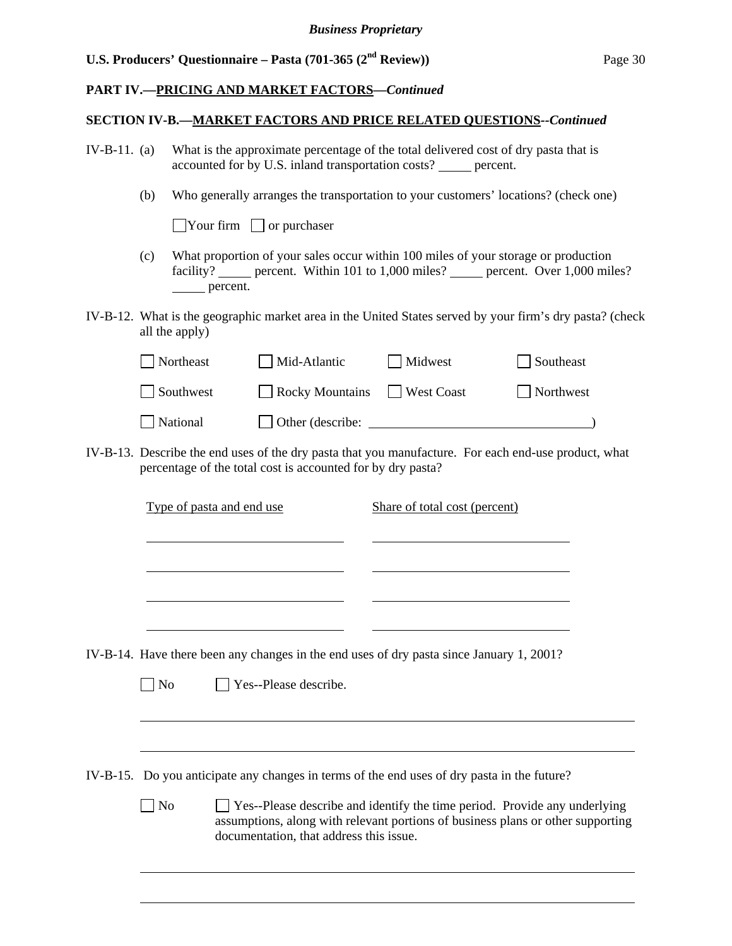### **PART IV.—PRICING AND MARKET FACTORS***—Continued*

### **SECTION IV-B.—MARKET FACTORS AND PRICE RELATED QUESTIONS***--Continued*

- IV-B-11. (a) What is the approximate percentage of the total delivered cost of dry pasta that is accounted for by U.S. inland transportation costs? percent.
	- (b) Who generally arranges the transportation to your customers' locations? (check one)

 $\Box$ Your firm  $\Box$  or purchaser

l

l

- (c) What proportion of your sales occur within 100 miles of your storage or production facility? percent. Within 101 to 1,000 miles? percent. Over 1,000 miles? percent.
- IV-B-12. What is the geographic market area in the United States served by your firm's dry pasta? (check all the apply)

| Northeast | Mid-Atlantic     | Midwest    | Southeast |
|-----------|------------------|------------|-----------|
| Southwest | Rocky Mountains  | West Coast | Northwest |
| National  | Other (describe: |            |           |

IV-B-13. Describe the end uses of the dry pasta that you manufacture. For each end-use product, what percentage of the total cost is accounted for by dry pasta?

|                | Type of pasta and end use               | Share of total cost (percent)                                                                                                                                       |  |
|----------------|-----------------------------------------|---------------------------------------------------------------------------------------------------------------------------------------------------------------------|--|
|                |                                         |                                                                                                                                                                     |  |
|                |                                         |                                                                                                                                                                     |  |
|                |                                         |                                                                                                                                                                     |  |
|                |                                         |                                                                                                                                                                     |  |
|                |                                         | IV-B-14. Have there been any changes in the end uses of dry pasta since January 1, 2001?                                                                            |  |
| $\overline{N}$ | $\Box$ Yes--Please describe.            |                                                                                                                                                                     |  |
|                |                                         |                                                                                                                                                                     |  |
|                |                                         |                                                                                                                                                                     |  |
|                |                                         | IV-B-15. Do you anticipate any changes in terms of the end uses of dry pasta in the future?                                                                         |  |
| N <sub>o</sub> | documentation, that address this issue. | $\Box$ Yes--Please describe and identify the time period. Provide any underlying<br>assumptions, along with relevant portions of business plans or other supporting |  |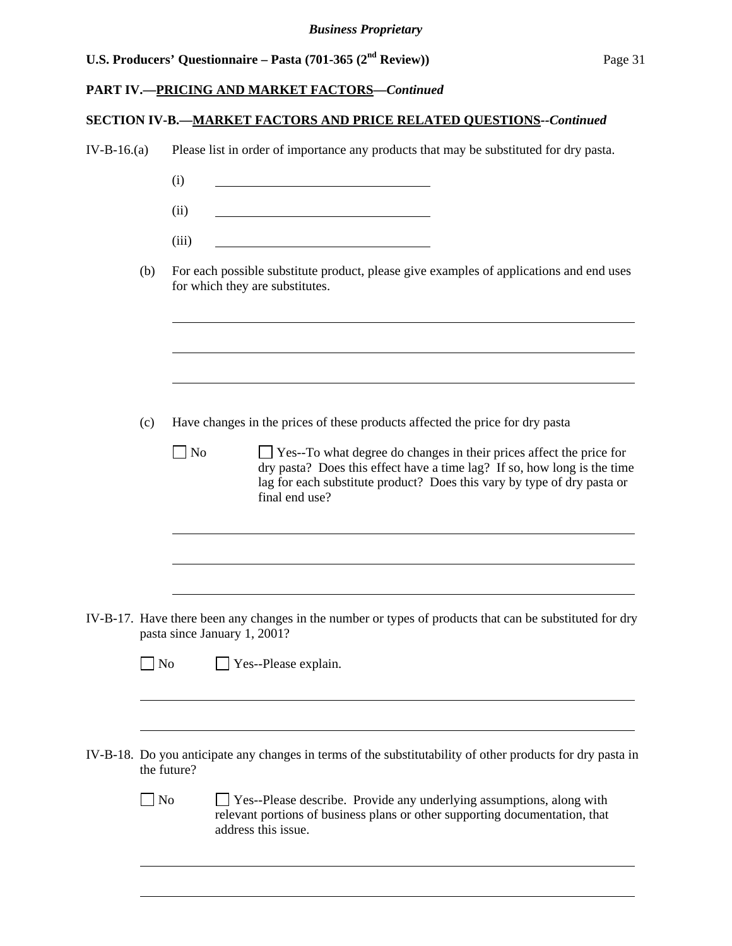# **PART IV.—PRICING AND MARKET FACTORS***—Continued*

# **SECTION IV-B.—MARKET FACTORS AND PRICE RELATED QUESTIONS***--Continued*

| $IV-B-16.(a)$ |                   |             | Please list in order of importance any products that may be substituted for dry pasta.                                                                                                                                                              |  |  |
|---------------|-------------------|-------------|-----------------------------------------------------------------------------------------------------------------------------------------------------------------------------------------------------------------------------------------------------|--|--|
|               |                   | (i)         |                                                                                                                                                                                                                                                     |  |  |
|               |                   |             |                                                                                                                                                                                                                                                     |  |  |
|               |                   | (ii)        |                                                                                                                                                                                                                                                     |  |  |
|               |                   | (iii)       |                                                                                                                                                                                                                                                     |  |  |
|               | (b)               |             | For each possible substitute product, please give examples of applications and end uses<br>for which they are substitutes.                                                                                                                          |  |  |
|               |                   |             |                                                                                                                                                                                                                                                     |  |  |
|               | (c)               |             | Have changes in the prices of these products affected the price for dry pasta                                                                                                                                                                       |  |  |
|               |                   | $\vert$ No  | $\Box$ Yes--To what degree do changes in their prices affect the price for<br>dry pasta? Does this effect have a time lag? If so, how long is the time<br>lag for each substitute product? Does this vary by type of dry pasta or<br>final end use? |  |  |
|               |                   |             |                                                                                                                                                                                                                                                     |  |  |
|               |                   |             | IV-B-17. Have there been any changes in the number or types of products that can be substituted for dry<br>pasta since January 1, 2001?                                                                                                             |  |  |
|               | $\blacksquare$ No |             | $\Box$ Yes--Please explain.                                                                                                                                                                                                                         |  |  |
|               |                   | the future? | IV-B-18. Do you anticipate any changes in terms of the substitutability of other products for dry pasta in                                                                                                                                          |  |  |
|               | $\Box$ No         |             | Yes--Please describe. Provide any underlying assumptions, along with<br>relevant portions of business plans or other supporting documentation, that<br>address this issue.                                                                          |  |  |
|               |                   |             |                                                                                                                                                                                                                                                     |  |  |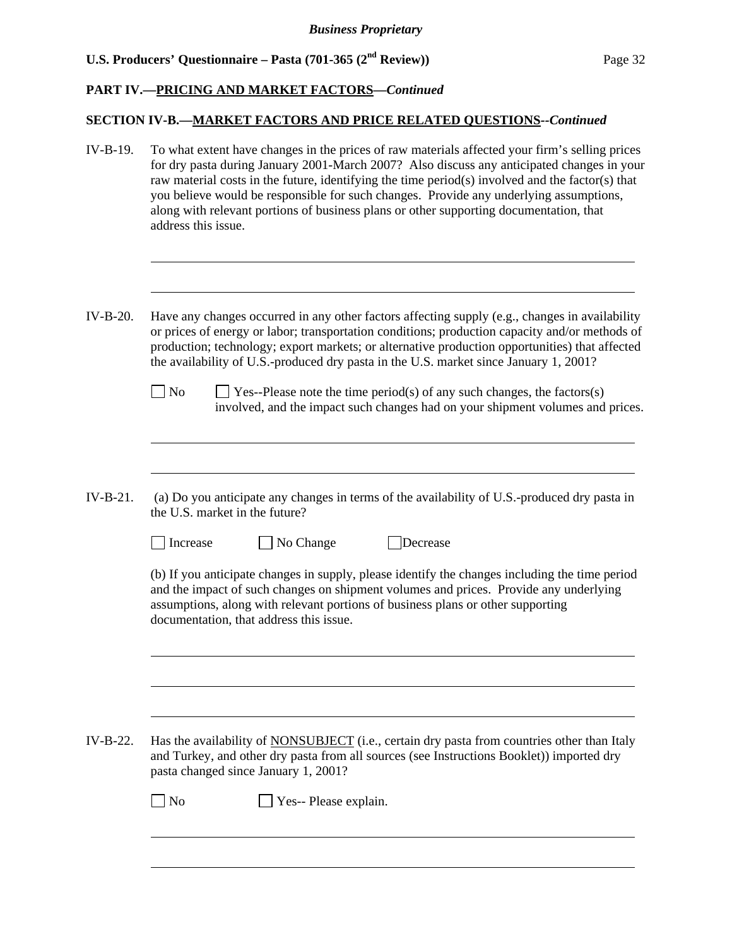### **PART IV.—PRICING AND MARKET FACTORS***—Continued*

### **SECTION IV-B.—MARKET FACTORS AND PRICE RELATED QUESTIONS***--Continued*

- IV-B-19. To what extent have changes in the prices of raw materials affected your firm's selling prices for dry pasta during January 2001-March 2007? Also discuss any anticipated changes in your raw material costs in the future, identifying the time period(s) involved and the factor(s) that you believe would be responsible for such changes. Provide any underlying assumptions, along with relevant portions of business plans or other supporting documentation, that address this issue.
- IV-B-20. Have any changes occurred in any other factors affecting supply (e.g., changes in availability or prices of energy or labor; transportation conditions; production capacity and/or methods of production; technology; export markets; or alternative production opportunities) that affected the availability of U.S.-produced dry pasta in the U.S. market since January 1, 2001?
	- $\Box$  No  $\Box$  Yes--Please note the time period(s) of any such changes, the factors(s) involved, and the impact such changes had on your shipment volumes and prices.
- IV-B-21. (a) Do you anticipate any changes in terms of the availability of U.S.-produced dry pasta in the U.S. market in the future?

□ Increase → No Change → Decrease

l

l

l

l

(b) If you anticipate changes in supply, please identify the changes including the time period and the impact of such changes on shipment volumes and prices. Provide any underlying assumptions, along with relevant portions of business plans or other supporting documentation, that address this issue.

IV-B-22. Has the availability of NONSUBJECT (i.e., certain dry pasta from countries other than Italy and Turkey, and other dry pasta from all sources (see Instructions Booklet)) imported dry pasta changed since January 1, 2001?

No **No** Yes-- Please explain.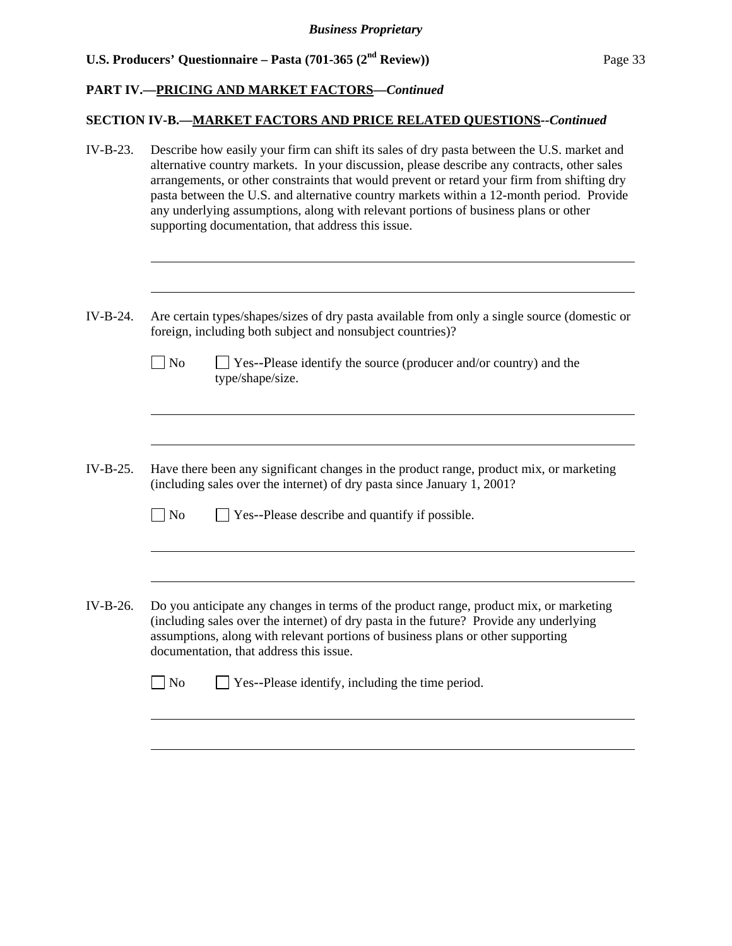$\overline{a}$ 

l

 $\overline{a}$ 

 $\overline{a}$ 

### **PART IV.—PRICING AND MARKET FACTORS***—Continued*

### **SECTION IV-B.—MARKET FACTORS AND PRICE RELATED QUESTIONS***--Continued*

- IV-B-23. Describe how easily your firm can shift its sales of dry pasta between the U.S. market and alternative country markets. In your discussion, please describe any contracts, other sales arrangements, or other constraints that would prevent or retard your firm from shifting dry pasta between the U.S. and alternative country markets within a 12-month period. Provide any underlying assumptions, along with relevant portions of business plans or other supporting documentation, that address this issue.
- IV-B-24. Are certain types/shapes/sizes of dry pasta available from only a single source (domestic or foreign, including both subject and nonsubject countries)?
	- $\Box$  No  $\Box$  Yes--Please identify the source (producer and/or country) and the type/shape/size.
- IV-B-25. Have there been any significant changes in the product range, product mix, or marketing (including sales over the internet) of dry pasta since January 1, 2001?
	- $\Box$  No  $\Box$  Yes--Please describe and quantify if possible.
- IV-B-26. Do you anticipate any changes in terms of the product range, product mix, or marketing (including sales over the internet) of dry pasta in the future? Provide any underlying assumptions, along with relevant portions of business plans or other supporting documentation, that address this issue.

| $\Box$ No<br>$\Box$ Yes--Please identify, including the time period. |  |
|----------------------------------------------------------------------|--|
|----------------------------------------------------------------------|--|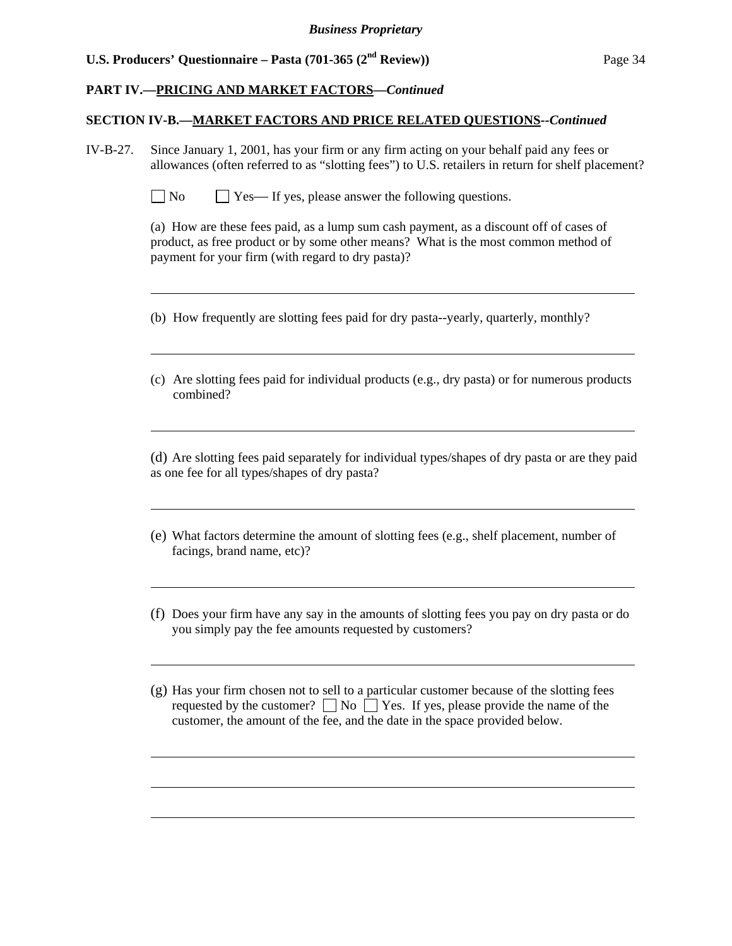l

l

 $\overline{a}$ 

l

l

l

 $\overline{a}$ 

### **PART IV.—PRICING AND MARKET FACTORS***—Continued*

### **SECTION IV-B.—MARKET FACTORS AND PRICE RELATED QUESTIONS***--Continued*

- IV-B-27. Since January 1, 2001, has your firm or any firm acting on your behalf paid any fees or allowances (often referred to as "slotting fees") to U.S. retailers in return for shelf placement?
	- $\Box$  No  $\Box$  Yes— If yes, please answer the following questions.

(a) How are these fees paid, as a lump sum cash payment, as a discount off of cases of product, as free product or by some other means? What is the most common method of payment for your firm (with regard to dry pasta)?

- (b) How frequently are slotting fees paid for dry pasta--yearly, quarterly, monthly?
- (c) Are slotting fees paid for individual products (e.g., dry pasta) or for numerous products combined?

(d) Are slotting fees paid separately for individual types/shapes of dry pasta or are they paid as one fee for all types/shapes of dry pasta?

- (e) What factors determine the amount of slotting fees (e.g., shelf placement, number of facings, brand name, etc)?
- (f) Does your firm have any say in the amounts of slotting fees you pay on dry pasta or do you simply pay the fee amounts requested by customers?
- (g) Has your firm chosen not to sell to a particular customer because of the slotting fees requested by the customer?  $\Box$  No  $\Box$  Yes. If yes, please provide the name of the customer, the amount of the fee, and the date in the space provided below.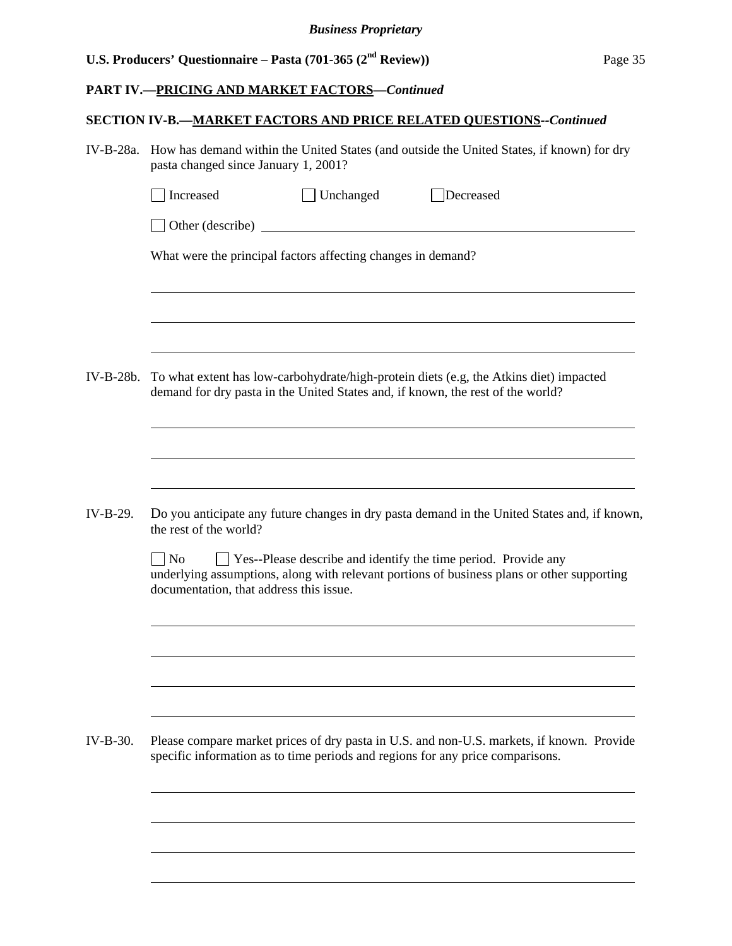# **PART IV.—PRICING AND MARKET FACTORS***—Continued*

# **SECTION IV-B.—MARKET FACTORS AND PRICE RELATED QUESTIONS***--Continued*

| IV-B-28a. How has demand within the United States (and outside the United States, if known) for dry |
|-----------------------------------------------------------------------------------------------------|
| pasta changed since January 1, 2001?                                                                |

|           | Increased                                                                                                                                                                 | Unchanged                                                    | Decreased                                                                                                                                                                   |  |  |  |  |
|-----------|---------------------------------------------------------------------------------------------------------------------------------------------------------------------------|--------------------------------------------------------------|-----------------------------------------------------------------------------------------------------------------------------------------------------------------------------|--|--|--|--|
|           | Other (describe)                                                                                                                                                          |                                                              | <u> 1980 - Jan Samuel Barbara, martin di</u>                                                                                                                                |  |  |  |  |
|           |                                                                                                                                                                           | What were the principal factors affecting changes in demand? |                                                                                                                                                                             |  |  |  |  |
|           |                                                                                                                                                                           |                                                              |                                                                                                                                                                             |  |  |  |  |
|           |                                                                                                                                                                           |                                                              |                                                                                                                                                                             |  |  |  |  |
| IV-B-28b. | To what extent has low-carbohydrate/high-protein diets (e.g, the Atkins diet) impacted<br>demand for dry pasta in the United States and, if known, the rest of the world? |                                                              |                                                                                                                                                                             |  |  |  |  |
|           |                                                                                                                                                                           |                                                              |                                                                                                                                                                             |  |  |  |  |
|           |                                                                                                                                                                           |                                                              |                                                                                                                                                                             |  |  |  |  |
| IV-B-29.  | the rest of the world?                                                                                                                                                    |                                                              | Do you anticipate any future changes in dry pasta demand in the United States and, if known,                                                                                |  |  |  |  |
|           | $\overline{N}$<br>documentation, that address this issue.                                                                                                                 |                                                              | □ Yes--Please describe and identify the time period. Provide any<br>underlying assumptions, along with relevant portions of business plans or other supporting              |  |  |  |  |
|           |                                                                                                                                                                           |                                                              |                                                                                                                                                                             |  |  |  |  |
|           |                                                                                                                                                                           |                                                              |                                                                                                                                                                             |  |  |  |  |
|           |                                                                                                                                                                           |                                                              |                                                                                                                                                                             |  |  |  |  |
| IV-B-30.  |                                                                                                                                                                           |                                                              | Please compare market prices of dry pasta in U.S. and non-U.S. markets, if known. Provide<br>specific information as to time periods and regions for any price comparisons. |  |  |  |  |
|           |                                                                                                                                                                           |                                                              |                                                                                                                                                                             |  |  |  |  |
|           |                                                                                                                                                                           |                                                              |                                                                                                                                                                             |  |  |  |  |
|           |                                                                                                                                                                           |                                                              |                                                                                                                                                                             |  |  |  |  |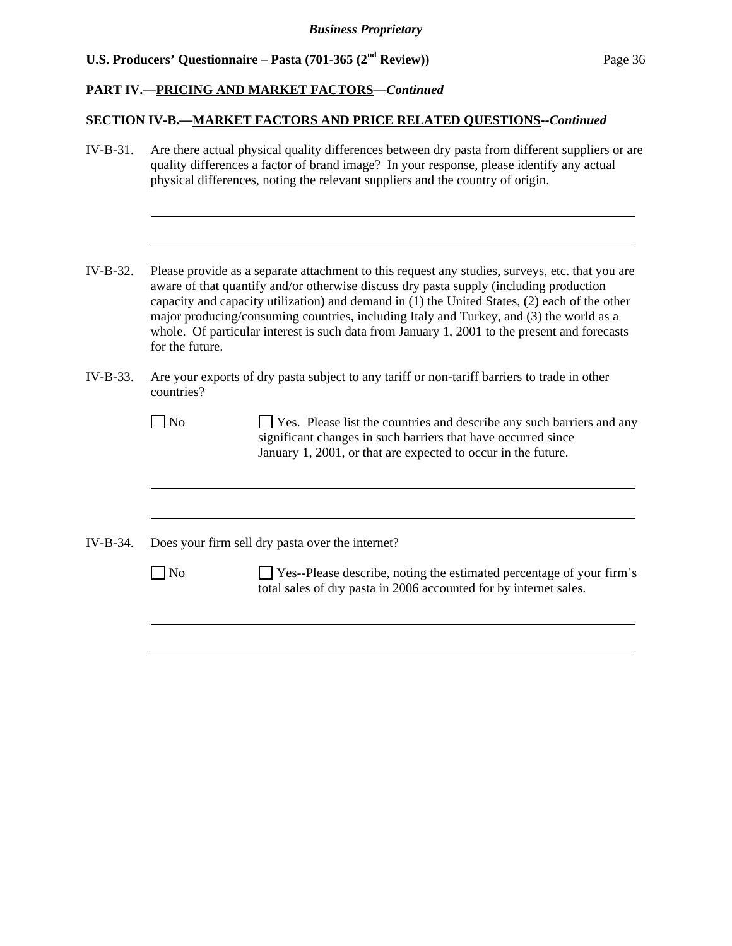$\overline{a}$ 

l

l

### **PART IV.—PRICING AND MARKET FACTORS***—Continued*

### **SECTION IV-B.—MARKET FACTORS AND PRICE RELATED QUESTIONS***--Continued*

- IV-B-31. Are there actual physical quality differences between dry pasta from different suppliers or are quality differences a factor of brand image? In your response, please identify any actual physical differences, noting the relevant suppliers and the country of origin.
- IV-B-32. Please provide as a separate attachment to this request any studies, surveys, etc. that you are aware of that quantify and/or otherwise discuss dry pasta supply (including production capacity and capacity utilization) and demand in (1) the United States, (2) each of the other major producing/consuming countries, including Italy and Turkey, and (3) the world as a whole. Of particular interest is such data from January 1, 2001 to the present and forecasts for the future.
- IV-B-33. Are your exports of dry pasta subject to any tariff or non-tariff barriers to trade in other countries?
	- $\Box$  No  $\Box$  Yes. Please list the countries and describe any such barriers and any significant changes in such barriers that have occurred since January 1, 2001, or that are expected to occur in the future.
- IV-B-34. Does your firm sell dry pasta over the internet?

No Secondary Please describe, noting the estimated percentage of your firm's total sales of dry pasta in 2006 accounted for by internet sales.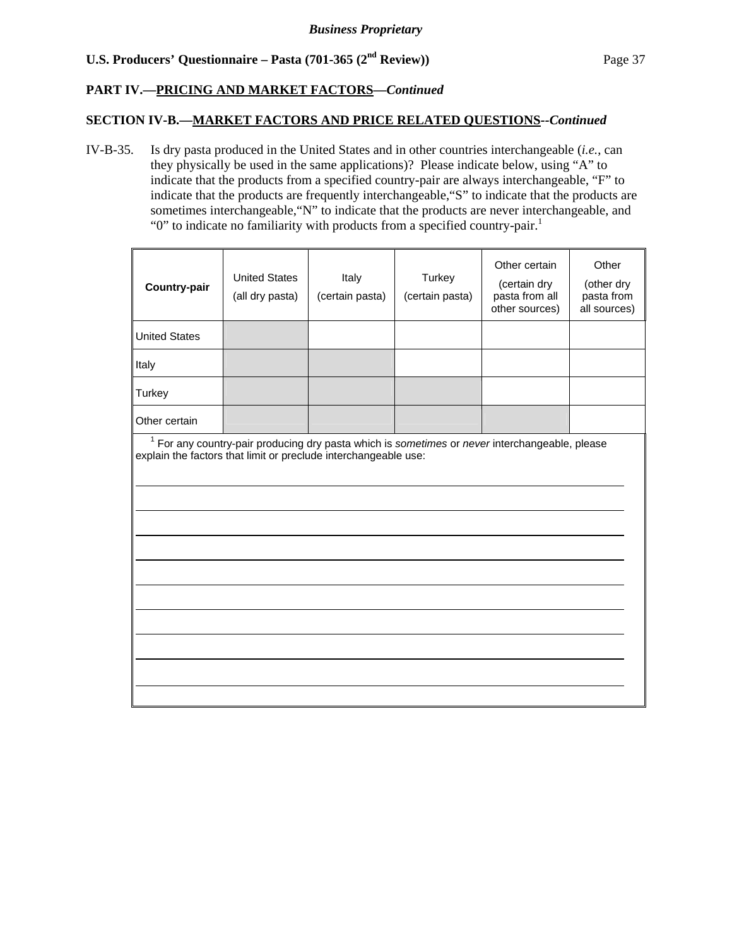## **PART IV.—PRICING AND MARKET FACTORS***—Continued*

## **SECTION IV-B.—MARKET FACTORS AND PRICE RELATED QUESTIONS***--Continued*

IV-B-35. Is dry pasta produced in the United States and in other countries interchangeable (*i.e.*, can they physically be used in the same applications)? Please indicate below, using "A" to indicate that the products from a specified country-pair are always interchangeable, "F" to indicate that the products are frequently interchangeable,"S" to indicate that the products are sometimes interchangeable,"N" to indicate that the products are never interchangeable, and " $0$ " to indicate no familiarity with products from a specified country-pair.<sup>1</sup>

| <b>Country-pair</b>                                                                                                                                                 | <b>United States</b><br>(all dry pasta) | Italy<br>(certain pasta) | Turkey<br>(certain pasta) | Other certain<br>(certain dry<br>pasta from all<br>other sources) | Other<br>(other dry<br>pasta from<br>all sources) |  |
|---------------------------------------------------------------------------------------------------------------------------------------------------------------------|-----------------------------------------|--------------------------|---------------------------|-------------------------------------------------------------------|---------------------------------------------------|--|
| <b>United States</b>                                                                                                                                                |                                         |                          |                           |                                                                   |                                                   |  |
| Italy                                                                                                                                                               |                                         |                          |                           |                                                                   |                                                   |  |
| Turkey                                                                                                                                                              |                                         |                          |                           |                                                                   |                                                   |  |
| Other certain                                                                                                                                                       |                                         |                          |                           |                                                                   |                                                   |  |
| $1$ For any country-pair producing dry pasta which is sometimes or never interchangeable, please<br>explain the factors that limit or preclude interchangeable use: |                                         |                          |                           |                                                                   |                                                   |  |
|                                                                                                                                                                     |                                         |                          |                           |                                                                   |                                                   |  |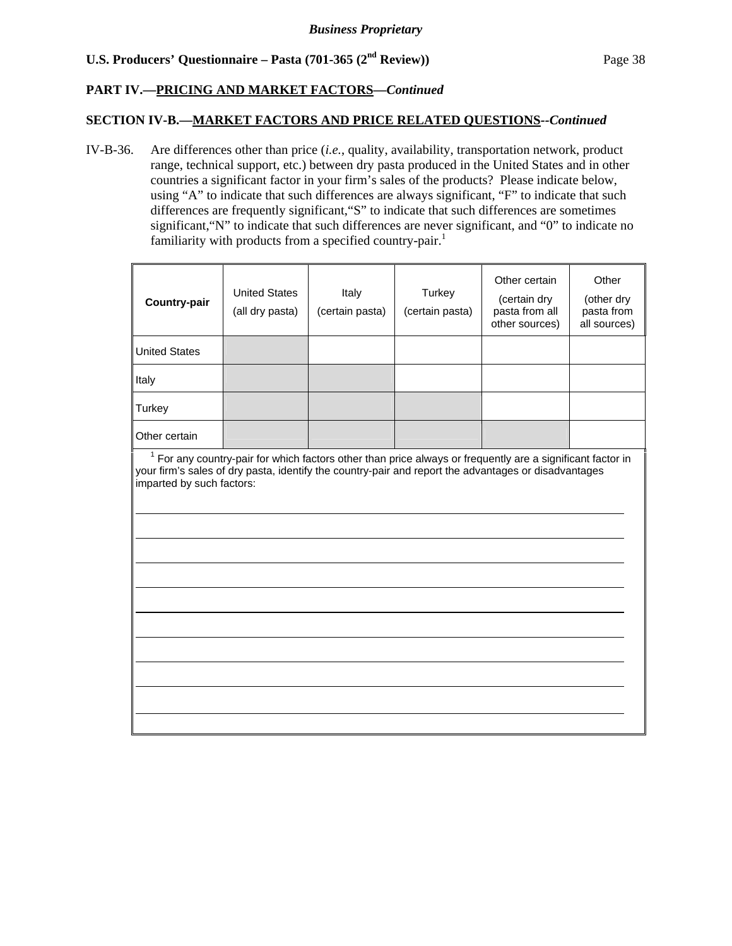## **PART IV.—PRICING AND MARKET FACTORS***—Continued*

## **SECTION IV-B.—MARKET FACTORS AND PRICE RELATED QUESTIONS***--Continued*

IV-B-36. Are differences other than price (*i.e.*, quality, availability, transportation network, product range, technical support, etc.) between dry pasta produced in the United States and in other countries a significant factor in your firm's sales of the products? Please indicate below, using "A" to indicate that such differences are always significant, "F" to indicate that such differences are frequently significant,"S" to indicate that such differences are sometimes significant,"N" to indicate that such differences are never significant, and "0" to indicate no familiarity with products from a specified country-pair.<sup>1</sup>

| <b>Country-pair</b>                                                                                                                                                                                                                               | <b>United States</b><br>(all dry pasta) | Italy<br>(certain pasta) | Turkey<br>(certain pasta) | Other certain<br>(certain dry<br>pasta from all<br>other sources) | Other<br>(other dry<br>pasta from<br>all sources) |  |
|---------------------------------------------------------------------------------------------------------------------------------------------------------------------------------------------------------------------------------------------------|-----------------------------------------|--------------------------|---------------------------|-------------------------------------------------------------------|---------------------------------------------------|--|
| <b>United States</b>                                                                                                                                                                                                                              |                                         |                          |                           |                                                                   |                                                   |  |
| Italy                                                                                                                                                                                                                                             |                                         |                          |                           |                                                                   |                                                   |  |
| Turkey                                                                                                                                                                                                                                            |                                         |                          |                           |                                                                   |                                                   |  |
| Other certain                                                                                                                                                                                                                                     |                                         |                          |                           |                                                                   |                                                   |  |
| $1$ For any country-pair for which factors other than price always or frequently are a significant factor in<br>your firm's sales of dry pasta, identify the country-pair and report the advantages or disadvantages<br>imparted by such factors: |                                         |                          |                           |                                                                   |                                                   |  |